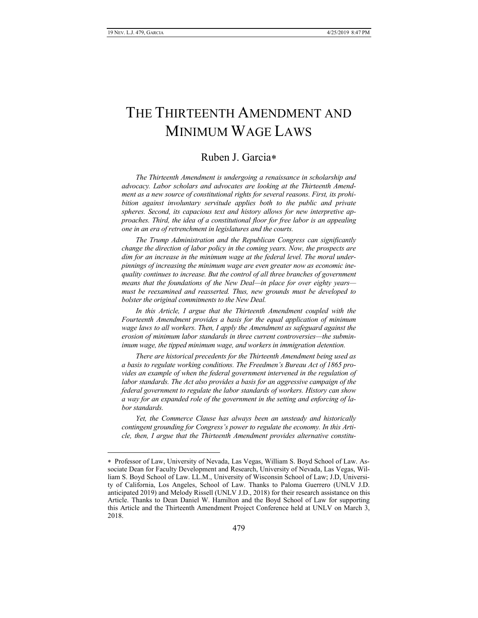$\overline{a}$ 

# THE THIRTEENTH AMENDMENT AND MINIMUM WAGE LAWS

# Ruben J. Garcia

*The Thirteenth Amendment is undergoing a renaissance in scholarship and advocacy. Labor scholars and advocates are looking at the Thirteenth Amendment as a new source of constitutional rights for several reasons. First, its prohibition against involuntary servitude applies both to the public and private spheres. Second, its capacious text and history allows for new interpretive approaches. Third, the idea of a constitutional floor for free labor is an appealing one in an era of retrenchment in legislatures and the courts.*

*The Trump Administration and the Republican Congress can significantly change the direction of labor policy in the coming years. Now, the prospects are dim for an increase in the minimum wage at the federal level. The moral underpinnings of increasing the minimum wage are even greater now as economic inequality continues to increase. But the control of all three branches of government means that the foundations of the New Deal—in place for over eighty years must be reexamined and reasserted. Thus, new grounds must be developed to bolster the original commitments to the New Deal.*

In this Article, I argue that the Thirteenth Amendment coupled with the *Fourteenth Amendment provides a basis for the equal application of minimum wage laws to all workers. Then, I apply the Amendment as safeguard against the erosion of minimum labor standards in three current controversies—the subminimum wage, the tipped minimum wage, and workers in immigration detention.*

*There are historical precedents for the Thirteenth Amendment being used as a basis to regulate working conditions. The Freedmen's Bureau Act of 1865 provides an example of when the federal government intervened in the regulation of labor standards. The Act also provides a basis for an aggressive campaign of the federal government to regulate the labor standards of workers. History can show a way for an expanded role of the government in the setting and enforcing of labor standards.*

*Yet, the Commerce Clause has always been an unsteady and historically contingent grounding for Congress's power to regulate the economy. In this Article, then, I argue that the Thirteenth Amendment provides alternative constitu-*

Professor of Law, University of Nevada, Las Vegas, William S. Boyd School of Law. Associate Dean for Faculty Development and Research, University of Nevada, Las Vegas, William S. Boyd School of Law. LL.M., University of Wisconsin School of Law; J.D, University of California, Los Angeles, School of Law. Thanks to Paloma Guerrero (UNLV J.D. anticipated 2019) and Melody Rissell (UNLV J.D., 2018) for their research assistance on this Article. Thanks to Dean Daniel W. Hamilton and the Boyd School of Law for supporting this Article and the Thirteenth Amendment Project Conference held at UNLV on March 3, 2018.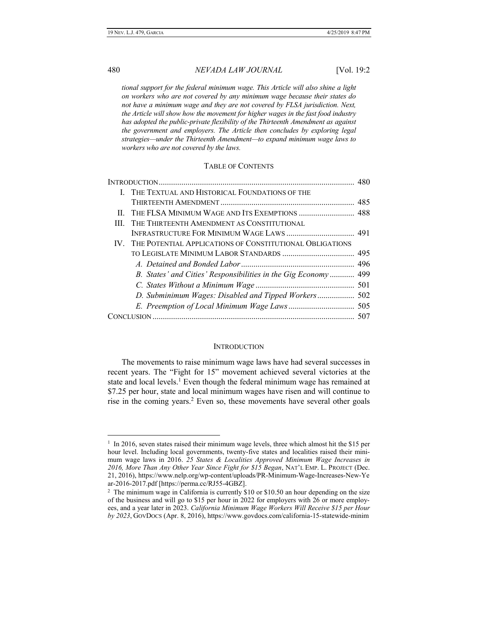*tional support for the federal minimum wage. This Article will also shine a light on workers who are not covered by any minimum wage because their states do not have a minimum wage and they are not covered by FLSA jurisdiction. Next, the Article will show how the movement for higher wages in the fast food industry has adopted the public-private flexibility of the Thirteenth Amendment as against the government and employers. The Article then concludes by exploring legal strategies—under the Thirteenth Amendment—to expand minimum wage laws to workers who are not covered by the laws.*

### TABLE OF CONTENTS

|   | I. THE TEXTUAL AND HISTORICAL FOUNDATIONS OF THE                |  |
|---|-----------------------------------------------------------------|--|
|   |                                                                 |  |
|   |                                                                 |  |
| Ш | THE THIRTEENTH AMENDMENT AS CONSTITUTIONAL                      |  |
|   |                                                                 |  |
|   | IV. THE POTENTIAL APPLICATIONS OF CONSTITUTIONAL OBLIGATIONS    |  |
|   |                                                                 |  |
|   |                                                                 |  |
|   | B. States' and Cities' Responsibilities in the Gig Economy  499 |  |
|   |                                                                 |  |
|   |                                                                 |  |
|   |                                                                 |  |
|   |                                                                 |  |
|   |                                                                 |  |

### **INTRODUCTION**

<span id="page-1-0"></span>The movements to raise minimum wage laws have had several successes in recent years. The "Fight for 15" movement achieved several victories at the state and local levels.<sup>1</sup> Even though the federal minimum wage has remained at \$7.25 per hour, state and local minimum wages have risen and will continue to rise in the coming years.<sup>2</sup> Even so, these movements have several other goals

<sup>&</sup>lt;sup>1</sup> In 2016, seven states raised their minimum wage levels, three which almost hit the \$15 per hour level. Including local governments, twenty-five states and localities raised their minimum wage laws in 2016. *25 States & Localities Approved Minimum Wage Increases in 2016, More Than Any Other Year Since Fight for \$15 Began*, NAT'L EMP. L. PROJECT (Dec. 21, 2016), https://www.nelp.org/wp-content/uploads/PR-Minimum-Wage-Increases-New-Ye ar-2016-2017.pdf [https://perma.cc/RJ55-4GBZ].

<sup>&</sup>lt;sup>2</sup> The minimum wage in California is currently \$10 or \$10.50 an hour depending on the size of the business and will go to \$15 per hour in 2022 for employers with 26 or more employees, and a year later in 2023. *California Minimum Wage Workers Will Receive \$15 per Hour by 2023*, GOVDOCS (Apr. 8, 2016), https://www.govdocs.com/california-15-statewide-minim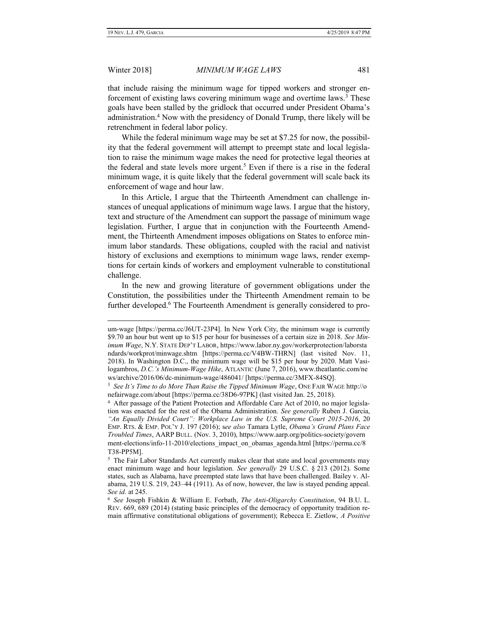$\overline{a}$ 

Winter 2018] *MINIMUM WAGE LAWS* 481

that include raising the minimum wage for tipped workers and stronger enforcement of existing laws covering minimum wage and overtime laws.<sup>3</sup> These goals have been stalled by the gridlock that occurred under President Obama's administration.<sup>4</sup> Now with the presidency of Donald Trump, there likely will be retrenchment in federal labor policy.

While the federal minimum wage may be set at \$7.25 for now, the possibility that the federal government will attempt to preempt state and local legislation to raise the minimum wage makes the need for protective legal theories at the federal and state levels more urgent.<sup>5</sup> Even if there is a rise in the federal minimum wage, it is quite likely that the federal government will scale back its enforcement of wage and hour law.

In this Article, I argue that the Thirteenth Amendment can challenge instances of unequal applications of minimum wage laws. I argue that the history, text and structure of the Amendment can support the passage of minimum wage legislation. Further, I argue that in conjunction with the Fourteenth Amendment, the Thirteenth Amendment imposes obligations on States to enforce minimum labor standards. These obligations, coupled with the racial and nativist history of exclusions and exemptions to minimum wage laws, render exemptions for certain kinds of workers and employment vulnerable to constitutional challenge.

In the new and growing literature of government obligations under the Constitution, the possibilities under the Thirteenth Amendment remain to be further developed.<sup>6</sup> The Fourteenth Amendment is generally considered to pro-

um-wage [https://perma.cc/J6UT-23P4]. In New York City, the minimum wage is currently \$9.70 an hour but went up to \$15 per hour for businesses of a certain size in 2018. *See Minimum Wage*, N.Y. STATE DEP'T LABOR, https://www.labor.ny.gov/workerprotection/laborsta ndards/workprot/minwage.shtm [https://perma.cc/V4BW-THRN] (last visited Nov. 11, 2018). In Washington D.C., the minimum wage will be \$15 per hour by 2020. Matt Vasilogambros, *D.C.'s Minimum-Wage Hike*, ATLANTIC (June 7, 2016), www.theatlantic.com/ne ws/archive/2016/06/dc-minimum-wage/486041/ [https://perma.cc/3MFX-84SQ].

<sup>3</sup> *See It's Time to do More Than Raise the Tipped Minimum Wage*, ONE FAIR WAGE http://o nefairwage.com/about [https://perma.cc/38D6-97PK] (last visited Jan. 25, 2018).

<sup>&</sup>lt;sup>4</sup> After passage of the Patient Protection and Affordable Care Act of 2010, no major legislation was enacted for the rest of the Obama Administration. *See generally* Ruben J. Garcia, *"An Equally Divided Court": Workplace Law in the U.S. Supreme Court 2015-2016*, 20 EMP. RTS. & EMP. POL'Y J. 197 (2016); s*ee also* Tamara Lytle, *Obama's Grand Plans Face Troubled Times*, AARP BULL. (Nov. 3, 2010), https://www.aarp.org/politics-society/govern ment-elections/info-11-2010/elections\_impact\_on\_obamas\_agenda.html [https://perma.cc/8 T38-PP5M].

<sup>&</sup>lt;sup>5</sup> The Fair Labor Standards Act currently makes clear that state and local governments may enact minimum wage and hour legislation. *See generally* 29 U.S.C. § 213 (2012). Some states, such as Alabama, have preempted state laws that have been challenged. Bailey v. Alabama, 219 U.S. 219, 243–44 (1911). As of now, however, the law is stayed pending appeal. *See id.* at 245.

<sup>6</sup> *See* Joseph Fishkin & William E. Forbath, *The Anti-Oligarchy Constitution*, 94 B.U. L. REV. 669, 689 (2014) (stating basic principles of the democracy of opportunity tradition remain affirmative constitutional obligations of government); Rebecca E. Zietlow, *A Positive*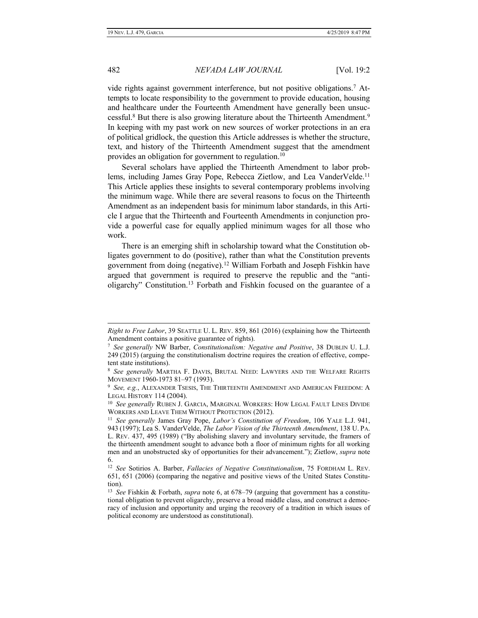vide rights against government interference, but not positive obligations.<sup>7</sup> Attempts to locate responsibility to the government to provide education, housing and healthcare under the Fourteenth Amendment have generally been unsuccessful.<sup>8</sup> But there is also growing literature about the Thirteenth Amendment.<sup>9</sup> In keeping with my past work on new sources of worker protections in an era of political gridlock, the question this Article addresses is whether the structure, text, and history of the Thirteenth Amendment suggest that the amendment provides an obligation for government to regulation.<sup>10</sup>

Several scholars have applied the Thirteenth Amendment to labor problems, including James Gray Pope, Rebecca Zietlow, and Lea VanderVelde.<sup>11</sup> This Article applies these insights to several contemporary problems involving the minimum wage. While there are several reasons to focus on the Thirteenth Amendment as an independent basis for minimum labor standards, in this Article I argue that the Thirteenth and Fourteenth Amendments in conjunction provide a powerful case for equally applied minimum wages for all those who work.

There is an emerging shift in scholarship toward what the Constitution obligates government to do (positive), rather than what the Constitution prevents government from doing (negative).<sup>12</sup> William Forbath and Joseph Fishkin have argued that government is required to preserve the republic and the "antioligarchy" Constitution.<sup>13</sup> Forbath and Fishkin focused on the guarantee of a

*Right to Free Labor*, 39 SEATTLE U. L. REV. 859, 861 (2016) (explaining how the Thirteenth Amendment contains a positive guarantee of rights).

<sup>7</sup> *See generally* NW Barber, *Constitutionalism: Negative and Positive*, 38 DUBLIN U. L.J. 249 (2015) (arguing the constitutionalism doctrine requires the creation of effective, competent state institutions).

<sup>8</sup> *See generally* MARTHA F. DAVIS, BRUTAL NEED: LAWYERS AND THE WELFARE RIGHTS MOVEMENT 1960-1973 81–97 (1993).

<sup>9</sup> *See, e.g.*, ALEXANDER TSESIS, THE THIRTEENTH AMENDMENT AND AMERICAN FREEDOM: A LEGAL HISTORY 114 (2004).

<sup>&</sup>lt;sup>10</sup> See generally RUBEN J. GARCIA, MARGINAL WORKERS: HOW LEGAL FAULT LINES DIVIDE WORKERS AND LEAVE THEM WITHOUT PROTECTION (2012).

<sup>11</sup> *See generally* James Gray Pope, *Labor's Constitution of Freedom*, 106 YALE L.J. 941, 943 (1997); Lea S. VanderVelde, *The Labor Vision of the Thirteenth Amendment*, 138 U. PA. L. REV. 437, 495 (1989) ("By abolishing slavery and involuntary servitude, the framers of the thirteenth amendment sought to advance both a floor of minimum rights for all working men and an unobstructed sky of opportunities for their advancement."); Zietlow, *supra* note 6.

<sup>12</sup> *See* Sotirios A. Barber, *Fallacies of Negative Constitutionalism*, 75 FORDHAM L. REV. 651, 651 (2006) (comparing the negative and positive views of the United States Constitution).

<sup>13</sup> *See* Fishkin & Forbath, *supra* note 6, at 678–79 (arguing that government has a constitutional obligation to prevent oligarchy, preserve a broad middle class, and construct a democracy of inclusion and opportunity and urging the recovery of a tradition in which issues of political economy are understood as constitutional).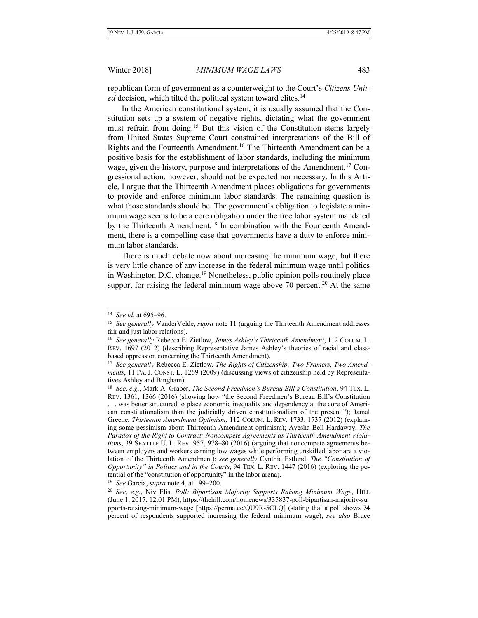republican form of government as a counterweight to the Court's *Citizens United* decision, which tilted the political system toward elites.<sup>14</sup>

In the American constitutional system, it is usually assumed that the Constitution sets up a system of negative rights, dictating what the government must refrain from doing.<sup>15</sup> But this vision of the Constitution stems largely from United States Supreme Court constrained interpretations of the Bill of Rights and the Fourteenth Amendment.<sup>16</sup> The Thirteenth Amendment can be a positive basis for the establishment of labor standards, including the minimum wage, given the history, purpose and interpretations of the Amendment.<sup>17</sup> Congressional action, however, should not be expected nor necessary. In this Article, I argue that the Thirteenth Amendment places obligations for governments to provide and enforce minimum labor standards. The remaining question is what those standards should be. The government's obligation to legislate a minimum wage seems to be a core obligation under the free labor system mandated by the Thirteenth Amendment.<sup>18</sup> In combination with the Fourteenth Amendment, there is a compelling case that governments have a duty to enforce minimum labor standards.

There is much debate now about increasing the minimum wage, but there is very little chance of any increase in the federal minimum wage until politics in Washington D.C. change.<sup>19</sup> Nonetheless, public opinion polls routinely place support for raising the federal minimum wage above 70 percent.<sup>20</sup> At the same

 $\overline{a}$ 

19 *See* Garcia, *supra* note 4, at 199–200.

<sup>14</sup> *See id.* at 695–96.

<sup>&</sup>lt;sup>15</sup> See generally VanderVelde, *supra* note 11 (arguing the Thirteenth Amendment addresses fair and just labor relations).

<sup>16</sup> *See generally* Rebecca E. Zietlow, *James Ashley's Thirteenth Amendment*, 112 COLUM. L. REV. 1697 (2012) (describing Representative James Ashley's theories of racial and classbased oppression concerning the Thirteenth Amendment).

<sup>17</sup> *See generally* Rebecca E. Zietlow, *The Rights of Citizenship: Two Framers, Two Amendments*, 11 PA. J. CONST. L. 1269 (2009) (discussing views of citizenship held by Representatives Ashley and Bingham).

<sup>18</sup> *See, e.g.*, Mark A. Graber, *The Second Freedmen's Bureau Bill's Constitution*, 94 TEX. L. REV. 1361, 1366 (2016) (showing how "the Second Freedmen's Bureau Bill's Constitution . . . was better structured to place economic inequality and dependency at the core of American constitutionalism than the judicially driven constitutionalism of the present."); Jamal Greene, *Thirteenth Amendment Optimism*, 112 COLUM. L. REV. 1733, 1737 (2012) (explaining some pessimism about Thirteenth Amendment optimism); Ayesha Bell Hardaway, *The Paradox of the Right to Contract: Noncompete Agreements as Thirteenth Amendment Violations*, 39 SEATTLE U. L. REV. 957, 978–80 (2016) (arguing that noncompete agreements between employers and workers earning low wages while performing unskilled labor are a violation of the Thirteenth Amendment); *see generally* Cynthia Estlund, *The "Constitution of Opportunity" in Politics and in the Courts*, 94 TEX. L. REV. 1447 (2016) (exploring the potential of the "constitution of opportunity" in the labor arena).

<sup>20</sup> *See, e.g.*, Niv Elis, *Poll: Bipartisan Majority Supports Raising Minimum Wage*, HILL (June 1, 2017, 12:01 PM), https://thehill.com/homenews/335837-poll-bipartisan-majority-su pports-raising-minimum-wage [https://perma.cc/QU9R-5CLQ] (stating that a poll shows 74 percent of respondents supported increasing the federal minimum wage); *see also* Bruce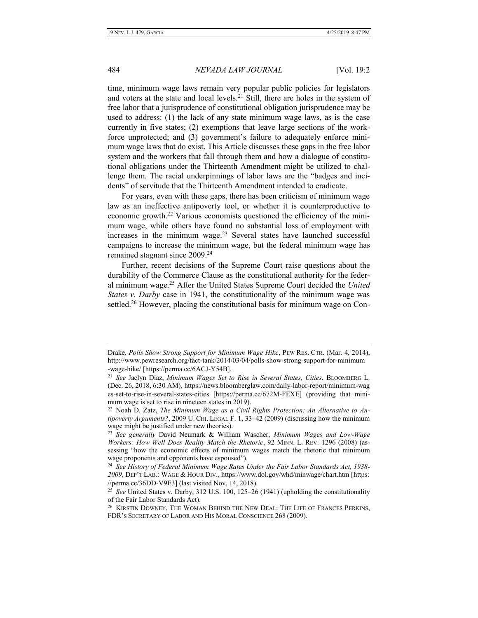time, minimum wage laws remain very popular public policies for legislators and voters at the state and local levels.<sup>21</sup> Still, there are holes in the system of free labor that a jurisprudence of constitutional obligation jurisprudence may be used to address: (1) the lack of any state minimum wage laws, as is the case currently in five states; (2) exemptions that leave large sections of the workforce unprotected; and (3) government's failure to adequately enforce minimum wage laws that do exist. This Article discusses these gaps in the free labor system and the workers that fall through them and how a dialogue of constitutional obligations under the Thirteenth Amendment might be utilized to challenge them. The racial underpinnings of labor laws are the "badges and incidents" of servitude that the Thirteenth Amendment intended to eradicate.

For years, even with these gaps, there has been criticism of minimum wage law as an ineffective antipoverty tool, or whether it is counterproductive to economic growth.<sup>22</sup> Various economists questioned the efficiency of the minimum wage, while others have found no substantial loss of employment with increases in the minimum wage. $23$  Several states have launched successful campaigns to increase the minimum wage, but the federal minimum wage has remained stagnant since 2009.<sup>24</sup>

Further, recent decisions of the Supreme Court raise questions about the durability of the Commerce Clause as the constitutional authority for the federal minimum wage.<sup>25</sup> After the United States Supreme Court decided the *United States v. Darby* case in 1941, the constitutionality of the minimum wage was settled.<sup>26</sup> However, placing the constitutional basis for minimum wage on Con-

Drake, *Polls Show Strong Support for Minimum Wage Hike*, PEW RES. CTR. (Mar. 4, 2014), http://www.pewresearch.org/fact-tank/2014/03/04/polls-show-strong-support-for-minimum -wage-hike/ [https://perma.cc/6ACJ-Y54B].

<sup>21</sup> *See* Jaclyn Diaz, *Minimum Wages Set to Rise in Several States, Cities*, BLOOMBERG L. (Dec. 26, 2018, 6:30 AM), https://news.bloomberglaw.com/daily-labor-report/minimum-wag es-set-to-rise-in-several-states-cities [https://perma.cc/672M-FEXE] (providing that minimum wage is set to rise in nineteen states in 2019).

<sup>22</sup> Noah D. Zatz, *The Minimum Wage as a Civil Rights Protection: An Alternative to Antipoverty Arguments?*, 2009 U. CHI. LEGAL F. 1, 33–42 (2009) (discussing how the minimum wage might be justified under new theories).

<sup>23</sup> *See generally* David Neumark & William Wascher, *Minimum Wages and Low-Wage Workers: How Well Does Reality Match the Rhetoric*, 92 MINN. L. REV. 1296 (2008) (assessing "how the economic effects of minimum wages match the rhetoric that minimum wage proponents and opponents have espoused").

<sup>24</sup> *See History of Federal Minimum Wage Rates Under the Fair Labor Standards Act, 1938- 2009*, DEP'T LAB.: WAGE & HOUR DIV., https://www.dol.gov/whd/minwage/chart.htm [https: //perma.cc/36DD-V9E3] (last visited Nov. 14, 2018).

<sup>25</sup> *See* United States v. Darby, 312 U.S. 100, 125–26 (1941) (upholding the constitutionality of the Fair Labor Standards Act).

 $^{26}$  Kirstin Downey, The Woman Behind the New Deal: The Life of Frances Perkins, FDR'S SECRETARY OF LABOR AND HIS MORAL CONSCIENCE 268 (2009).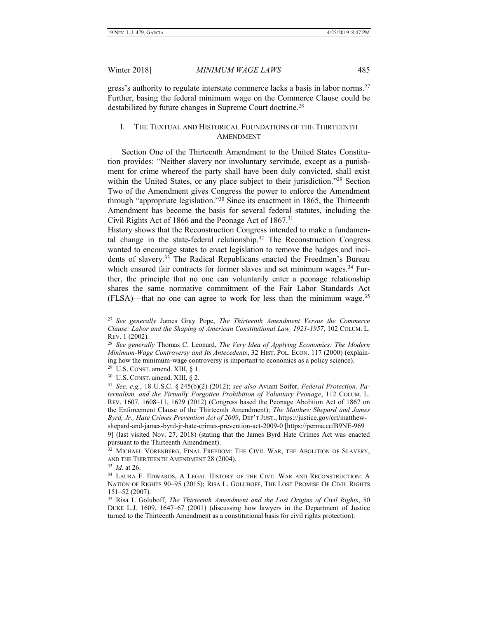gress's authority to regulate interstate commerce lacks a basis in labor norms.<sup>27</sup> Further, basing the federal minimum wage on the Commerce Clause could be destabilized by future changes in Supreme Court doctrine.<sup>28</sup>

# <span id="page-6-0"></span>I. THE TEXTUAL AND HISTORICAL FOUNDATIONS OF THE THIRTEENTH AMENDMENT

Section One of the Thirteenth Amendment to the United States Constitution provides: "Neither slavery nor involuntary servitude, except as a punishment for crime whereof the party shall have been duly convicted, shall exist within the United States, or any place subject to their jurisdiction."<sup>29</sup> Section Two of the Amendment gives Congress the power to enforce the Amendment through "appropriate legislation."<sup>30</sup> Since its enactment in 1865, the Thirteenth Amendment has become the basis for several federal statutes, including the Civil Rights Act of 1866 and the Peonage Act of 1867.<sup>31</sup>

History shows that the Reconstruction Congress intended to make a fundamental change in the state-federal relationship.<sup>32</sup> The Reconstruction Congress wanted to encourage states to enact legislation to remove the badges and incidents of slavery.<sup>33</sup> The Radical Republicans enacted the Freedmen's Bureau which ensured fair contracts for former slaves and set minimum wages.<sup>34</sup> Further, the principle that no one can voluntarily enter a peonage relationship shares the same normative commitment of the Fair Labor Standards Act  $(FLSA)$ —that no one can agree to work for less than the minimum wage.<sup>35</sup>

<sup>27</sup> *See generally* James Gray Pope, *The Thirteenth Amendment Versus the Commerce Clause: Labor and the Shaping of American Constitutional Law, 1921-1957*, 102 COLUM. L. REV. 1 (2002).

<sup>28</sup> *See generally* Thomas C. Leonard, *The Very Idea of Applying Economics: The Modern Minimum-Wage Controversy and Its Antecedents*, 32 HIST. POL. ECON. 117 (2000) (explaining how the minimum-wage controversy is important to economics as a policy science).

<sup>&</sup>lt;sup>29</sup> U.S. CONST. amend. XIII,  $\S$  1.

 $30$  U.S. CONST. amend. XIII, § 2.

<sup>31</sup> *See, e.g.*, 18 U.S.C. § 245(b)(2) (2012); *see also* Aviam Soifer, *Federal Protection, Paternalism, and the Virtually Forgotten Prohibition of Voluntary Peonage*, 112 COLUM. L. REV. 1607, 1608–11, 1629 (2012) (Congress based the Peonage Abolition Act of 1867 on the Enforcement Clause of the Thirteenth Amendment); *The Matthew Shepard and James Byrd, Jr., Hate Crimes Prevention Act of 2009*, DEP'T JUST., https://justice.gov/crt/matthewshepard-and-james-byrd-jr-hate-crimes-prevention-act-2009-0 [https://perma.cc/B9NE-969

<sup>9]</sup> (last visited Nov. 27, 2018) (stating that the James Byrd Hate Crimes Act was enacted pursuant to the Thirteenth Amendment).

<sup>&</sup>lt;sup>32</sup> MICHAEL VORENBERG, FINAL FREEDOM: THE CIVIL WAR, THE ABOLITION OF SLAVERY, AND THE THIRTEENTH AMENDMENT 28 (2004).

<sup>33</sup> *Id.* at 26.

<sup>&</sup>lt;sup>34</sup> LAURA F. EDWARDS, A LEGAL HISTORY OF THE CIVIL WAR AND RECONSTRUCTION: A NATION OF RIGHTS 90–95 (2015); RISA L. GOLUBOFF, THE LOST PROMISE OF CIVIL RIGHTS 151–52 (2007).

<sup>35</sup> Risa L Goluboff, *The Thirteenth Amendment and the Lost Origins of Civil Rights*, 50 DUKE L.J. 1609, 1647–67 (2001) (discussing how lawyers in the Department of Justice turned to the Thirteenth Amendment as a constitutional basis for civil rights protection).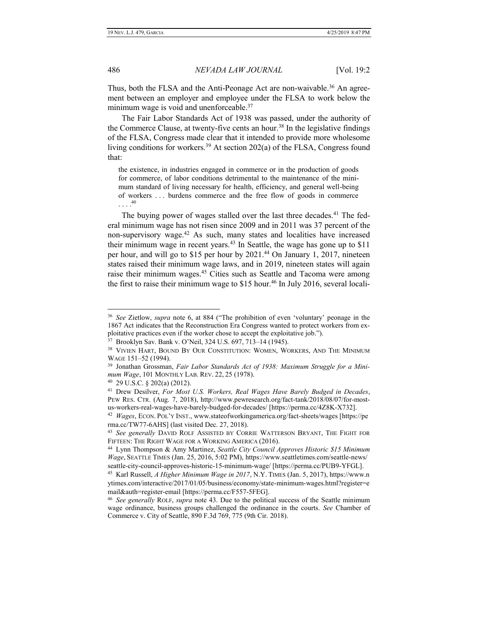$\overline{a}$ 

486 *NEVADA LAW JOURNAL* [Vol. 19:2

Thus, both the FLSA and the Anti-Peonage Act are non-waivable.<sup>36</sup> An agreement between an employer and employee under the FLSA to work below the minimum wage is void and unenforceable.<sup>37</sup>

The Fair Labor Standards Act of 1938 was passed, under the authority of the Commerce Clause, at twenty-five cents an hour.<sup>38</sup> In the legislative findings of the FLSA, Congress made clear that it intended to provide more wholesome living conditions for workers.<sup>39</sup> At section  $202(a)$  of the FLSA, Congress found that:

the existence, in industries engaged in commerce or in the production of goods for commerce, of labor conditions detrimental to the maintenance of the minimum standard of living necessary for health, efficiency, and general well-being of workers . . . burdens commerce and the free flow of goods in commerce . . . . 40

The buying power of wages stalled over the last three decades.<sup>41</sup> The federal minimum wage has not risen since 2009 and in 2011 was 37 percent of the non-supervisory wage.<sup>42</sup> As such, many states and localities have increased their minimum wage in recent years.<sup>43</sup> In Seattle, the wage has gone up to \$11 per hour, and will go to \$15 per hour by 2021.<sup>44</sup> On January 1, 2017, nineteen states raised their minimum wage laws, and in 2019, nineteen states will again raise their minimum wages.<sup>45</sup> Cities such as Seattle and Tacoma were among the first to raise their minimum wage to  $$15$  hour.<sup>46</sup> In July 2016, several locali-

<sup>36</sup> *See* Zietlow, *supra* note 6, at 884 ("The prohibition of even 'voluntary' peonage in the 1867 Act indicates that the Reconstruction Era Congress wanted to protect workers from exploitative practices even if the worker chose to accept the exploitative job.").

<sup>37</sup> Brooklyn Sav. Bank v. O'Neil, 324 U.S. 697, 713–14 (1945).

<sup>&</sup>lt;sup>38</sup> VIVIEN HART, BOUND BY OUR CONSTITUTION: WOMEN, WORKERS, AND THE MINIMUM WAGE 151–52 (1994).

<sup>39</sup> Jonathan Grossman, *Fair Labor Standards Act of 1938: Maximum Struggle for a Minimum Wage*, 101 MONTHLY LAB. REV. 22, 25 (1978).

<sup>40</sup> 29 U.S.C. § 202(a) (2012).

<sup>41</sup> Drew Desilver, *For Most U.S. Workers, Real Wages Have Barely Budged in Decades*, PEW RES. CTR. (Aug. 7, 2018), http://www.pewresearch.org/fact-tank/2018/08/07/for-mostus-workers-real-wages-have-barely-budged-for-decades/ [https://perma.cc/4Z8K-X732].

<sup>42</sup> *Wages*, ECON. POL'Y INST., www.stateofworkingamerica.org/fact-sheets/wages [https://pe rma.cc/TW77-6AHS] (last visited Dec. 27, 2018).

<sup>43</sup> *See generally* DAVID ROLF ASSISTED BY CORRIE WATTERSON BRYANT, THE FIGHT FOR FIFTEEN: THE RIGHT WAGE FOR A WORKING AMERICA (2016).

<sup>44</sup> Lynn Thompson & Amy Martinez, *Seattle City Council Approves Historic \$15 Minimum Wage*, SEATTLE TIMES (Jan. 25, 2016, 5:02 PM), https://www.seattletimes.com/seattle-news/ seattle-city-council-approves-historic-15-minimum-wage/ [https://perma.cc/PUB9-YFGL].

<sup>45</sup> Karl Russell, *A Higher Minimum Wage in 2017*, N.Y. TIMES (Jan. 5, 2017), https://www.n ytimes.com/interactive/2017/01/05/business/economy/state-minimum-wages.html?register=e mail&auth=register-email [https://perma.cc/F557-5FEG].

<sup>46</sup> *See generally* ROLF, *supra* note 43. Due to the political success of the Seattle minimum wage ordinance, business groups challenged the ordinance in the courts. *See* Chamber of Commerce v. City of Seattle, 890 F.3d 769, 775 (9th Cir. 2018).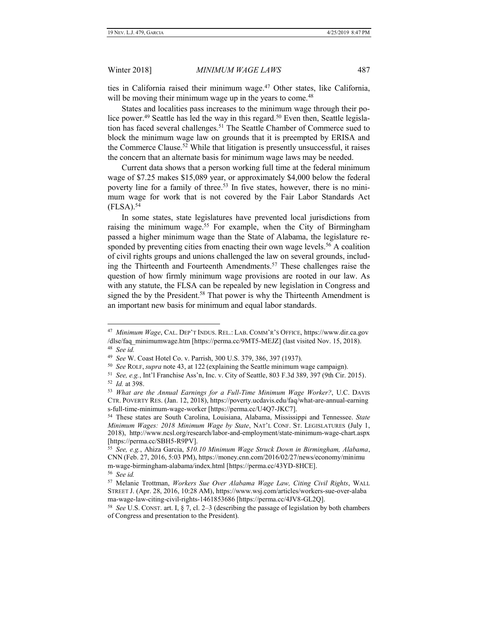$\overline{a}$ 

#### Winter 2018] *MINIMUM WAGE LAWS* 487

ties in California raised their minimum wage.<sup>47</sup> Other states, like California, will be moving their minimum wage up in the years to come.<sup>48</sup>

States and localities pass increases to the minimum wage through their police power.<sup>49</sup> Seattle has led the way in this regard.<sup>50</sup> Even then, Seattle legislation has faced several challenges.<sup>51</sup> The Seattle Chamber of Commerce sued to block the minimum wage law on grounds that it is preempted by ERISA and the Commerce Clause.<sup>52</sup> While that litigation is presently unsuccessful, it raises the concern that an alternate basis for minimum wage laws may be needed.

Current data shows that a person working full time at the federal minimum wage of \$7.25 makes \$15,089 year, or approximately \$4,000 below the federal poverty line for a family of three.<sup>53</sup> In five states, however, there is no minimum wage for work that is not covered by the Fair Labor Standards Act  $(FLSA).$ <sup>54</sup>

In some states, state legislatures have prevented local jurisdictions from raising the minimum wage.<sup>55</sup> For example, when the City of Birmingham passed a higher minimum wage than the State of Alabama, the legislature responded by preventing cities from enacting their own wage levels.<sup>56</sup> A coalition of civil rights groups and unions challenged the law on several grounds, including the Thirteenth and Fourteenth Amendments.<sup>57</sup> These challenges raise the question of how firmly minimum wage provisions are rooted in our law. As with any statute, the FLSA can be repealed by new legislation in Congress and signed the by the President.<sup>58</sup> That power is why the Thirteenth Amendment is an important new basis for minimum and equal labor standards.

<sup>47</sup> *Minimum Wage*, CAL. DEP'T INDUS. REL.: LAB. COMM'R'S OFFICE, https://www.dir.ca.gov /dlse/faq\_minimumwage.htm [https://perma.cc/9MT5-MEJZ] (last visited Nov. 15, 2018). 48 *See id.*

<sup>49</sup> *See* W. Coast Hotel Co. v. Parrish, 300 U.S. 379, 386, 397 (1937).

<sup>50</sup> *See* ROLF, *supra* note 43, at 122 (explaining the Seattle minimum wage campaign).

<sup>51</sup> *See, e.g.*, Int'l Franchise Ass'n, Inc. v. City of Seattle, 803 F.3d 389, 397 (9th Cir. 2015). 52 *Id.* at 398.

<sup>53</sup> *What are the Annual Earnings for a Full-Time Minimum Wage Worker?*, U.C. DAVIS CTR. POVERTY RES. (Jan. 12, 2018), https://poverty.ucdavis.edu/faq/what-are-annual-earning s-full-time-minimum-wage-worker [https://perma.cc/U4Q7-JKC7].

<sup>54</sup> These states are South Carolina, Louisiana, Alabama, Mississippi and Tennessee. *State Minimum Wages: 2018 Minimum Wage by State*, NAT'L CONF. ST. LEGISLATURES (July 1, 2018), http://www.ncsl.org/research/labor-and-employment/state-minimum-wage-chart.aspx [https://perma.cc/SBH5-R9PV].

<sup>55</sup> *See, e.g.*, Ahiza Garcia, *\$10.10 Minimum Wage Struck Down in Birmingham, Alabama*, CNN (Feb. 27, 2016, 5:03 PM), https://money.cnn.com/2016/02/27/news/economy/minimu m-wage-birmingham-alabama/index.html [https://perma.cc/43YD-8HCE]. 56 *See id.*

<sup>57</sup> Melanie Trottman, *Workers Sue Over Alabama Wage Law, Citing Civil Rights*, WALL STREET J. (Apr. 28, 2016, 10:28 AM), https://www.wsj.com/articles/workers-sue-over-alaba ma-wage-law-citing-civil-rights-1461853686 [https://perma.cc/4JV8-GL2Q].

<sup>58</sup> *See* U.S. CONST. art. I, § 7, cl. 2–3 (describing the passage of legislation by both chambers of Congress and presentation to the President).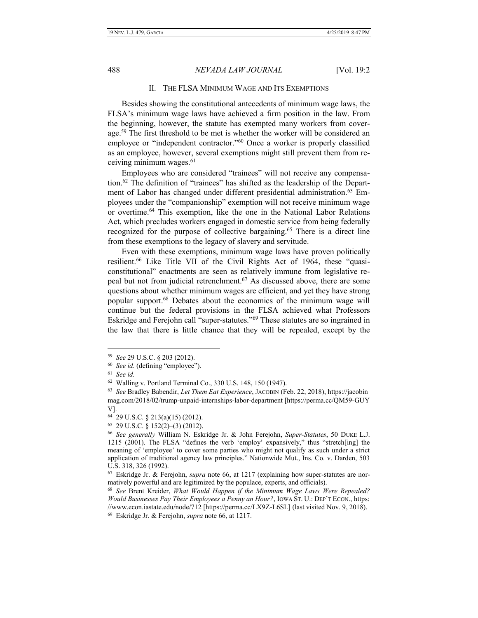<span id="page-9-0"></span>

### II. THE FLSA MINIMUM WAGE AND ITS EXEMPTIONS

Besides showing the constitutional antecedents of minimum wage laws, the FLSA's minimum wage laws have achieved a firm position in the law. From the beginning, however, the statute has exempted many workers from coverage.<sup>59</sup> The first threshold to be met is whether the worker will be considered an employee or "independent contractor."<sup>60</sup> Once a worker is properly classified as an employee, however, several exemptions might still prevent them from receiving minimum wages.<sup>61</sup>

Employees who are considered "trainees" will not receive any compensation.<sup>62</sup> The definition of "trainees" has shifted as the leadership of the Department of Labor has changed under different presidential administration.<sup>63</sup> Employees under the "companionship" exemption will not receive minimum wage or overtime.<sup>64</sup> This exemption, like the one in the National Labor Relations Act, which precludes workers engaged in domestic service from being federally recognized for the purpose of collective bargaining.<sup>65</sup> There is a direct line from these exemptions to the legacy of slavery and servitude.

Even with these exemptions, minimum wage laws have proven politically resilient.<sup>66</sup> Like Title VII of the Civil Rights Act of 1964, these "quasiconstitutional" enactments are seen as relatively immune from legislative repeal but not from judicial retrenchment.<sup>67</sup> As discussed above, there are some questions about whether minimum wages are efficient, and yet they have strong popular support.<sup>68</sup> Debates about the economics of the minimum wage will continue but the federal provisions in the FLSA achieved what Professors Eskridge and Ferejohn call "super-statutes."<sup>69</sup> These statutes are so ingrained in the law that there is little chance that they will be repealed, except by the

<sup>59</sup> *See* 29 U.S.C. § 203 (2012).

<sup>60</sup> *See id.* (defining "employee").

<sup>61</sup> *See id.*

<sup>62</sup> Walling v. Portland Terminal Co., 330 U.S. 148, 150 (1947).

<sup>63</sup> *See* Bradley Babendir, *Let Them Eat Experience*, JACOBIN (Feb. 22, 2018), https://jacobin mag.com/2018/02/trump-unpaid-internships-labor-department [https://perma.cc/QM59-GUY V].

<sup>64</sup> 29 U.S.C. § 213(a)(15) (2012).

<sup>65</sup> 29 U.S.C. § 152(2)–(3) (2012).

<sup>66</sup> *See generally* William N. Eskridge Jr. & John Ferejohn, *Super-Statutes*, 50 DUKE L.J. 1215 (2001). The FLSA "defines the verb 'employ' expansively," thus "stretch[ing] the meaning of 'employee' to cover some parties who might not qualify as such under a strict application of traditional agency law principles." Nationwide Mut., Ins. Co. v. Darden, 503 U.S. 318, 326 (1992).

<sup>67</sup> Eskridge Jr. & Ferejohn, *supra* note 66, at 1217 (explaining how super-statutes are normatively powerful and are legitimized by the populace, experts, and officials).

<sup>68</sup> *See* Brent Kreider, *What Would Happen if the Minimum Wage Laws Were Repealed? Would Businesses Pay Their Employees a Penny an Hour?*, IOWA ST. U.: DEP'T ECON., https: //www.econ.iastate.edu/node/712 [https://perma.cc/LX9Z-L6SL] (last visited Nov. 9, 2018). <sup>69</sup> Eskridge Jr. & Ferejohn, *supra* note 66, at 1217.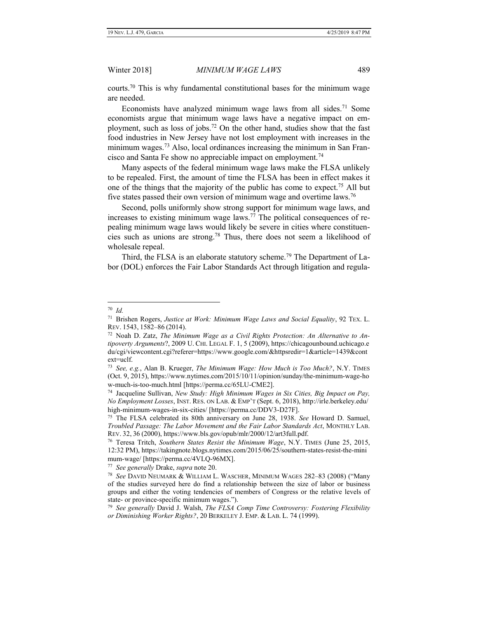courts.<sup>70</sup> This is why fundamental constitutional bases for the minimum wage are needed.

Economists have analyzed minimum wage laws from all sides.<sup>71</sup> Some economists argue that minimum wage laws have a negative impact on employment, such as loss of jobs.<sup>72</sup> On the other hand, studies show that the fast food industries in New Jersey have not lost employment with increases in the minimum wages.<sup>73</sup> Also, local ordinances increasing the minimum in San Francisco and Santa Fe show no appreciable impact on employment.<sup>74</sup>

Many aspects of the federal minimum wage laws make the FLSA unlikely to be repealed. First, the amount of time the FLSA has been in effect makes it one of the things that the majority of the public has come to expect.<sup>75</sup> All but five states passed their own version of minimum wage and overtime laws.<sup>76</sup>

Second, polls uniformly show strong support for minimum wage laws, and increases to existing minimum wage laws.<sup>77</sup> The political consequences of repealing minimum wage laws would likely be severe in cities where constituencies such as unions are strong.<sup>78</sup> Thus, there does not seem a likelihood of wholesale repeal.

Third, the FLSA is an elaborate statutory scheme.<sup>79</sup> The Department of Labor (DOL) enforces the Fair Labor Standards Act through litigation and regula-

<sup>70</sup> *Id.*

<sup>71</sup> Brishen Rogers, *Justice at Work: Minimum Wage Laws and Social Equality*, 92 TEX. L. REV. 1543, 1582–86 (2014).

<sup>72</sup> Noah D. Zatz, *The Minimum Wage as a Civil Rights Protection: An Alternative to Antipoverty Arguments*?, 2009 U. CHI. LEGAL F. 1, 5 (2009), https://chicagounbound.uchicago.e du/cgi/viewcontent.cgi?referer=https://www.google.com/&httpsredir=1&article=1439&cont ext=uclf.

<sup>73</sup> *See, e.g.*, Alan B. Krueger, *The Minimum Wage: How Much is Too Much?*, N.Y. TIMES (Oct. 9, 2015), https://www.nytimes.com/2015/10/11/opinion/sunday/the-minimum-wage-ho w-much-is-too-much.html [https://perma.cc/65LU-CME2].

<sup>74</sup> Jacqueline Sullivan, *New Study: High Minimum Wages in Six Cities, Big Impact on Pay, No Employment Losses*, INST. RES. ON LAB. & EMP'T (Sept. 6, 2018), http://irle.berkeley.edu/ high-minimum-wages-in-six-cities/ [https://perma.cc/DDV3-D27F].

<sup>75</sup> The FLSA celebrated its 80th anniversary on June 28, 1938. *See* Howard D. Samuel, *Troubled Passage: The Labor Movement and the Fair Labor Standards Act*, MONTHLY LAB. REV. 32, 36 (2000), https://www.bls.gov/opub/mlr/2000/12/art3full.pdf.

<sup>76</sup> Teresa Tritch, *Southern States Resist the Minimum Wage*, N.Y. TIMES (June 25, 2015, 12:32 PM), https://takingnote.blogs.nytimes.com/2015/06/25/southern-states-resist-the-mini mum-wage/ [https://perma.cc/4VLQ-96MX].

<sup>77</sup> *See generally* Drake, *supra* note 20.

<sup>78</sup> *See* DAVID NEUMARK & WILLIAM L. WASCHER, MINIMUM WAGES 282–83 (2008) ("Many of the studies surveyed here do find a relationship between the size of labor or business groups and either the voting tendencies of members of Congress or the relative levels of state- or province-specific minimum wages.").

<sup>79</sup> *See generally* David J. Walsh, *The FLSA Comp Time Controversy: Fostering Flexibility or Diminishing Worker Rights?*, 20 BERKELEY J. EMP. & LAB. L. 74 (1999).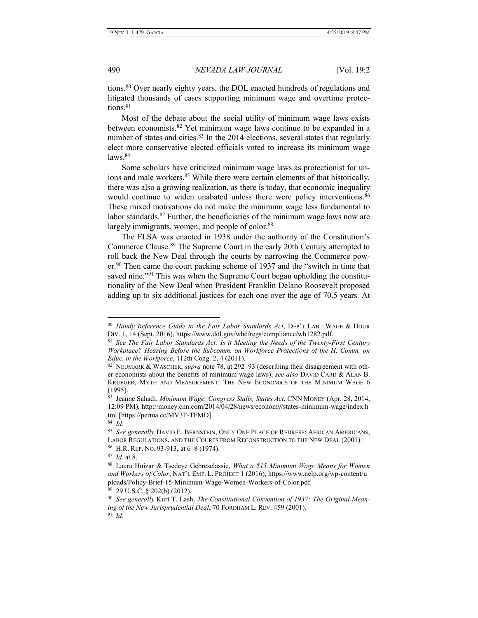tions.<sup>80</sup> Over nearly eighty years, the DOL enacted hundreds of regulations and litigated thousands of cases supporting minimum wage and overtime protections.<sup>81</sup>

Most of the debate about the social utility of minimum wage laws exists between economists.<sup>82</sup> Yet minimum wage laws continue to be expanded in a number of states and cities.<sup>83</sup> In the 2014 elections, several states that regularly elect more conservative elected officials voted to increase its minimum wage  $l$ aws.  $84$ 

Some scholars have criticized minimum wage laws as protectionist for unions and male workers.<sup>85</sup> While there were certain elements of that historically, there was also a growing realization, as there is today, that economic inequality would continue to widen unabated unless there were policy interventions.<sup>86</sup> These mixed motivations do not make the minimum wage less fundamental to labor standards. $87$  Further, the beneficiaries of the minimum wage laws now are largely immigrants, women, and people of color.<sup>88</sup>

The FLSA was enacted in 1938 under the authority of the Constitution's Commerce Clause.<sup>89</sup> The Supreme Court in the early 20th Century attempted to roll back the New Deal through the courts by narrowing the Commerce power.<sup>90</sup> Then came the court packing scheme of 1937 and the "switch in time that saved nine."<sup>91</sup> This was when the Supreme Court began upholding the constitutionality of the New Deal when President Franklin Delano Roosevelt proposed adding up to six additional justices for each one over the age of 70.5 years. At

<sup>80</sup> *Handy Reference Guide to the Fair Labor Standards Act*, DEP'T LAB.: WAGE & HOUR DIV. 1, 14 (Sept. 2016), https://www.dol.gov/whd/regs/compliance/wh1282.pdf.

<sup>&</sup>lt;sup>81</sup> See The Fair Labor Standards Act: Is it Meeting the Needs of the Twenty-First Century *Workplace? Hearing Before the Subcomm. on Workforce Protections of the H. Comm. on Educ. in the Workforce*, 112th Cong. 2, 4 (2011).

<sup>82</sup> NEUMARK & WASCHER, *supra* note 78, at 292–93 (describing their disagreement with other economists about the benefits of minimum wage laws); *see also* DAVID CARD & ALAN B. KRUEGER, MYTH AND MEASUREMENT: THE NEW ECONOMICS OF THE MINIMUM WAGE 6 (1995).

<sup>83</sup> Jeanne Sahadi, *Minimum Wage: Congress Stalls, States Act*, CNN MONEY (Apr. 28, 2014, 12:09 PM), http://money.cnn.com/2014/04/28/news/economy/states-minimum-wage/index.h tml [https://perma.cc/MV3F-TFMD].

<sup>84</sup> *Id.*

<sup>85</sup> *See generally* DAVID E. BERNSTEIN, ONLY ONE PLACE OF REDRESS: AFRICAN AMERICANS, LABOR REGULATIONS, AND THE COURTS FROM RECONSTRUCTION TO THE NEW DEAL (2001). 86 H.R. REP. NO. 93-913, at 6–8 (1974).

<sup>87</sup> *Id.* at 8.

<sup>88</sup> Laura Huizar & Tsedeye Gebreselassie, *What a \$15 Minimum Wage Means for Women and Workers of Color*, NAT'L EMP. L. PROJECT 1 (2016), https://www.nelp.org/wp-content/u ploads/Policy-Brief-15-Minimum-Wage-Women-Workers-of-Color.pdf.

<sup>89</sup> 29 U.S.C. § 202(b) (2012).

<sup>90</sup> *See generally* Kurt T. Lash, *The Constitutional Convention of 1937: The Original Meaning of the New Jurisprudential Deal*, 70 FORDHAM L. REV. 459 (2001). 91 *Id.*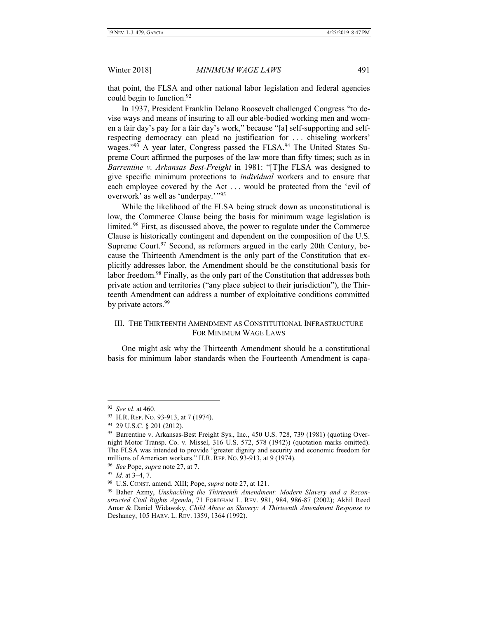that point, the FLSA and other national labor legislation and federal agencies could begin to function.<sup>92</sup>

In 1937, President Franklin Delano Roosevelt challenged Congress "to devise ways and means of insuring to all our able-bodied working men and women a fair day's pay for a fair day's work," because "[a] self-supporting and selfrespecting democracy can plead no justification for . . . chiseling workers' wages."<sup>93</sup> A year later, Congress passed the FLSA.<sup>94</sup> The United States Supreme Court affirmed the purposes of the law more than fifty times; such as in *Barrentine v. Arkansas Best-Freight* in 1981: "[T]he FLSA was designed to give specific minimum protections to *individual* workers and to ensure that each employee covered by the Act . . . would be protected from the 'evil of overwork' as well as 'underpay.'"<sup>95</sup>

While the likelihood of the FLSA being struck down as unconstitutional is low, the Commerce Clause being the basis for minimum wage legislation is limited.<sup>96</sup> First, as discussed above, the power to regulate under the Commerce Clause is historically contingent and dependent on the composition of the U.S. Supreme Court.<sup>97</sup> Second, as reformers argued in the early 20th Century, because the Thirteenth Amendment is the only part of the Constitution that explicitly addresses labor, the Amendment should be the constitutional basis for labor freedom.<sup>98</sup> Finally, as the only part of the Constitution that addresses both private action and territories ("any place subject to their jurisdiction"), the Thirteenth Amendment can address a number of exploitative conditions committed by private actors.<sup>99</sup>

# <span id="page-12-0"></span>III. THE THIRTEENTH AMENDMENT AS CONSTITUTIONAL INFRASTRUCTURE FOR MINIMUM WAGE LAWS

One might ask why the Thirteenth Amendment should be a constitutional basis for minimum labor standards when the Fourteenth Amendment is capa-

<sup>92</sup>  *See id.* at 460.

<sup>93</sup> H.R. REP. No. 93-913, at 7 (1974).

<sup>94</sup> 29 U.S.C. § 201 (2012).

<sup>&</sup>lt;sup>95</sup> Barrentine v. Arkansas-Best Freight Sys., Inc., 450 U.S. 728, 739 (1981) (quoting Overnight Motor Transp. Co. v. Missel, 316 U.S. 572, 578 (1942)) (quotation marks omitted). The FLSA was intended to provide "greater dignity and security and economic freedom for millions of American workers." H.R. REP. NO. 93-913, at 9 (1974).

<sup>96</sup> *See* Pope, *supra* note 27, at 7.

<sup>97</sup> *Id.* at 3–4, 7.

<sup>98</sup> U.S. CONST. amend. XIII; Pope, *supra* note 27, at 121.

<sup>99</sup> Baher Azmy, *Unshackling the Thirteenth Amendment: Modern Slavery and a Reconstructed Civil Rights Agenda*, 71 FORDHAM L. REV. 981, 984, 986-87 (2002); Akhil Reed Amar & Daniel Widawsky, *Child Abuse as Slavery: A Thirteenth Amendment Response to*  Deshaney, 105 HARV. L. REV. 1359, 1364 (1992).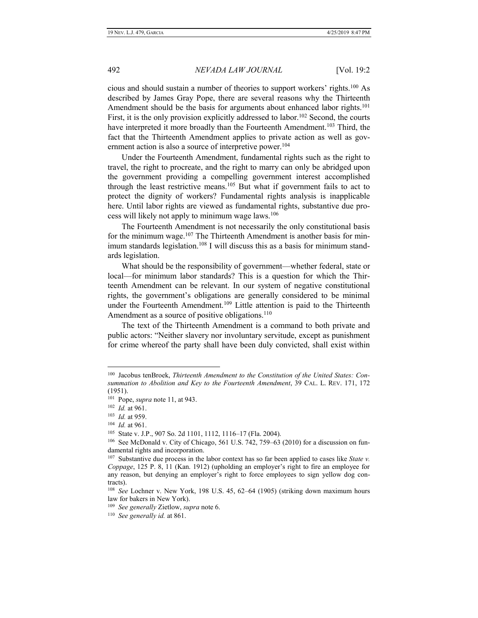cious and should sustain a number of theories to support workers' rights.<sup>100</sup> As described by James Gray Pope, there are several reasons why the Thirteenth Amendment should be the basis for arguments about enhanced labor rights.<sup>101</sup> First, it is the only provision explicitly addressed to labor.<sup>102</sup> Second, the courts have interpreted it more broadly than the Fourteenth Amendment.<sup>103</sup> Third, the fact that the Thirteenth Amendment applies to private action as well as government action is also a source of interpretive power.<sup>104</sup>

Under the Fourteenth Amendment, fundamental rights such as the right to travel, the right to procreate, and the right to marry can only be abridged upon the government providing a compelling government interest accomplished through the least restrictive means.<sup>105</sup> But what if government fails to act to protect the dignity of workers? Fundamental rights analysis is inapplicable here. Until labor rights are viewed as fundamental rights, substantive due process will likely not apply to minimum wage laws.<sup>106</sup>

The Fourteenth Amendment is not necessarily the only constitutional basis for the minimum wage.<sup>107</sup> The Thirteenth Amendment is another basis for minimum standards legislation.<sup>108</sup> I will discuss this as a basis for minimum standards legislation.

What should be the responsibility of government—whether federal, state or local—for minimum labor standards? This is a question for which the Thirteenth Amendment can be relevant. In our system of negative constitutional rights, the government's obligations are generally considered to be minimal under the Fourteenth Amendment.<sup>109</sup> Little attention is paid to the Thirteenth Amendment as a source of positive obligations.<sup>110</sup>

The text of the Thirteenth Amendment is a command to both private and public actors: "Neither slavery nor involuntary servitude, except as punishment for crime whereof the party shall have been duly convicted, shall exist within

<sup>&</sup>lt;sup>100</sup> Jacobus tenBroek, *Thirteenth Amendment to the Constitution of the United States: Consummation to Abolition and Key to the Fourteenth Amendment*, 39 CAL. L. REV. 171, 172 (1951).

<sup>101</sup> Pope, *supra* note 11, at 943.

<sup>102</sup> *Id.* at 961.

<sup>103</sup> *Id.* at 959.

<sup>104</sup> *Id.* at 961.

<sup>105</sup> State v. J.P., 907 So. 2d 1101, 1112, 1116–17 (Fla. 2004).

<sup>106</sup> See McDonald v. City of Chicago, 561 U.S. 742, 759–63 (2010) for a discussion on fundamental rights and incorporation.

<sup>107</sup> Substantive due process in the labor context has so far been applied to cases like *State v. Coppage*, 125 P. 8, 11 (Kan. 1912) (upholding an employer's right to fire an employee for any reason, but denying an employer's right to force employees to sign yellow dog contracts).

<sup>108</sup> *See* Lochner v. New York, 198 U.S. 45, 62–64 (1905) (striking down maximum hours law for bakers in New York).

<sup>109</sup> *See generally* Zietlow, *supra* note 6.

<sup>110</sup> *See generally id.* at 861.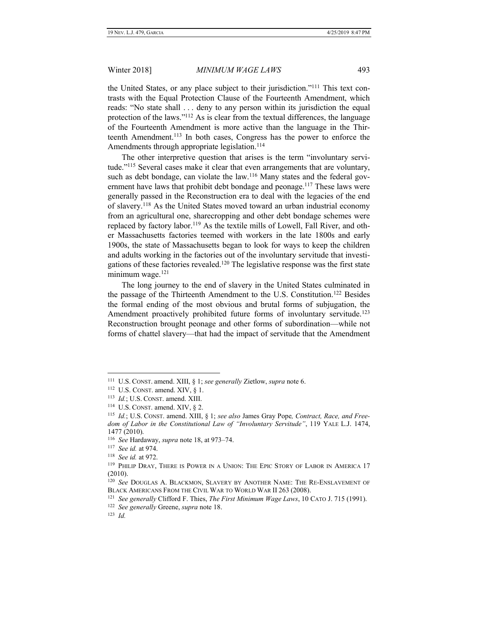the United States, or any place subject to their jurisdiction."<sup>111</sup> This text contrasts with the Equal Protection Clause of the Fourteenth Amendment, which reads: "No state shall . . . deny to any person within its jurisdiction the equal protection of the laws."<sup>112</sup> As is clear from the textual differences, the language of the Fourteenth Amendment is more active than the language in the Thirteenth Amendment.<sup>113</sup> In both cases, Congress has the power to enforce the Amendments through appropriate legislation.<sup>114</sup>

The other interpretive question that arises is the term "involuntary servitude."<sup>115</sup> Several cases make it clear that even arrangements that are voluntary, such as debt bondage, can violate the law.<sup>116</sup> Many states and the federal government have laws that prohibit debt bondage and peonage.<sup>117</sup> These laws were generally passed in the Reconstruction era to deal with the legacies of the end of slavery.<sup>118</sup> As the United States moved toward an urban industrial economy from an agricultural one, sharecropping and other debt bondage schemes were replaced by factory labor.<sup>119</sup> As the textile mills of Lowell, Fall River, and other Massachusetts factories teemed with workers in the late 1800s and early 1900s, the state of Massachusetts began to look for ways to keep the children and adults working in the factories out of the involuntary servitude that investigations of these factories revealed.<sup>120</sup> The legislative response was the first state minimum wage.<sup>121</sup>

The long journey to the end of slavery in the United States culminated in the passage of the Thirteenth Amendment to the U.S. Constitution.<sup>122</sup> Besides the formal ending of the most obvious and brutal forms of subjugation, the Amendment proactively prohibited future forms of involuntary servitude.<sup>123</sup> Reconstruction brought peonage and other forms of subordination—while not forms of chattel slavery—that had the impact of servitude that the Amendment

<sup>111</sup> U.S. CONST. amend. XIII, § 1; *see generally* Zietlow, *supra* note 6.

<sup>112</sup> U.S. CONST. amend. XIV, § 1.

<sup>113</sup> *Id.*; U.S. CONST. amend. XIII.

<sup>114</sup> U.S. CONST. amend. XIV, § 2.

<sup>115</sup> *Id.*; U.S. CONST. amend. XIII, § 1; *see also* James Gray Pope*, Contract, Race, and Freedom of Labor in the Constitutional Law of "Involuntary Servitude"*, 119 YALE L.J. 1474, 1477 (2010).

<sup>116</sup> *See* Hardaway, *supra* note 18, at 973–74.

<sup>117</sup> *See id.* at 974.

<sup>118</sup> *See id.* at 972.

<sup>&</sup>lt;sup>119</sup> PHILIP DRAY, THERE IS POWER IN A UNION: THE EPIC STORY OF LABOR IN AMERICA 17 (2010).

<sup>&</sup>lt;sup>120</sup> See DOUGLAS A. BLACKMON, SLAVERY BY ANOTHER NAME: THE RE-ENSLAVEMENT OF BLACK AMERICANS FROM THE CIVIL WAR TO WORLD WAR II 263 (2008).

<sup>121</sup> *See generally* Clifford F. Thies, *The First Minimum Wage Laws*, 10 CATO J. 715 (1991).

<sup>122</sup> *See generally* Greene, *supra* note 18.

<sup>123</sup> *Id.*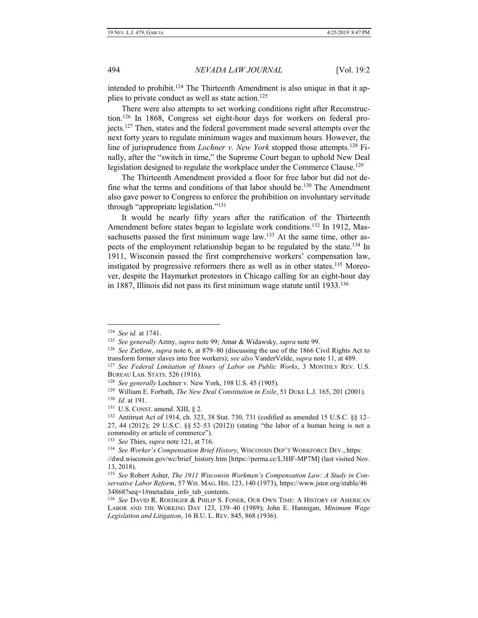intended to prohibit.<sup>124</sup> The Thirteenth Amendment is also unique in that it applies to private conduct as well as state action.<sup>125</sup>

There were also attempts to set working conditions right after Reconstruction.<sup>126</sup> In 1868, Congress set eight-hour days for workers on federal projects.<sup>127</sup> Then, states and the federal government made several attempts over the next forty years to regulate minimum wages and maximum hours. However, the line of jurisprudence from *Lochner v. New York* stopped those attempts.<sup>128</sup> Finally, after the "switch in time," the Supreme Court began to uphold New Deal legislation designed to regulate the workplace under the Commerce Clause.<sup>129</sup>

The Thirteenth Amendment provided a floor for free labor but did not define what the terms and conditions of that labor should be.<sup>130</sup> The Amendment also gave power to Congress to enforce the prohibition on involuntary servitude through "appropriate legislation."<sup>131</sup>

It would be nearly fifty years after the ratification of the Thirteenth Amendment before states began to legislate work conditions.<sup>132</sup> In 1912, Massachusetts passed the first minimum wage law.<sup>133</sup> At the same time, other aspects of the employment relationship began to be regulated by the state.<sup>134</sup> In 1911, Wisconsin passed the first comprehensive workers' compensation law, instigated by progressive reformers there as well as in other states.<sup>135</sup> Moreover, despite the Haymarket protestors in Chicago calling for an eight-hour day in 1887, Illinois did not pass its first minimum wage statute until 1933.<sup>136</sup>

<sup>124</sup> *See id.* at 1741.

<sup>125</sup> *See generally* Azmy, *supra* note 99; Amar & Widawsky, *supra* note 99.

<sup>126</sup> *See* Zietlow, *supra* note 6, at 879–80 (discussing the use of the 1866 Civil Rights Act to transform former slaves into free workers); *see also* VanderVelde, *supra* note 11, at 489.

<sup>127</sup> *See Federal Limitation of Hours of Labor on Public Works*, 3 MONTHLY REV. U.S. BUREAU LAB. STATS. 526 (1916).

<sup>128</sup> *See generally* Lochner v. New York, 198 U.S. 45 (1905).

<sup>129</sup> William E. Forbath, *The New Deal Constitution in Exile*, 51 DUKE L.J. 165, 201 (2001).

<sup>130</sup> *Id.* at 191.

 $131$  U.S. CONST. amend. XIII, § 2.

<sup>&</sup>lt;sup>132</sup> Antitrust Act of 1914, ch. 323, 38 Stat. 730, 731 (codified as amended 15 U.S.C. §§ 12– 27, 44 (2012); 29 U.S.C. §§ 52–53 (2012)) (stating "the labor of a human being is not a commodity or article of commerce").

<sup>133</sup> *See* Thies, *supra* note 121, at 716.

<sup>134</sup> *See Worker's Compensation Brief History*, WISCONSIN DEP'T WORKFORCE DEV., https: //dwd.wisconsin.gov/wc/brief\_history.htm [https://perma.cc/L3HF-MP7M] (last visited Nov. 13, 2018).

<sup>135</sup> *See* Robert Asher, *The 1911 Wisconsin Workmen's Compensation Law: A Study in Conservative Labor Reform*, 57 WIS. MAG. HIS. 123, 140 (1973), https://www.jstor.org/stable/46 34868?seq=1#metadata\_info\_tab\_contents.

<sup>136</sup> *See* DAVID R. ROEDIGER & PHILIP S. FONER, OUR OWN TIME: A HISTORY OF AMERICAN LABOR AND THE WORKING DAY 123, 139–40 (1989); John E. Hannigan, *Minimum Wage Legislation and Litigation*, 16 B.U. L. REV. 845, 868 (1936).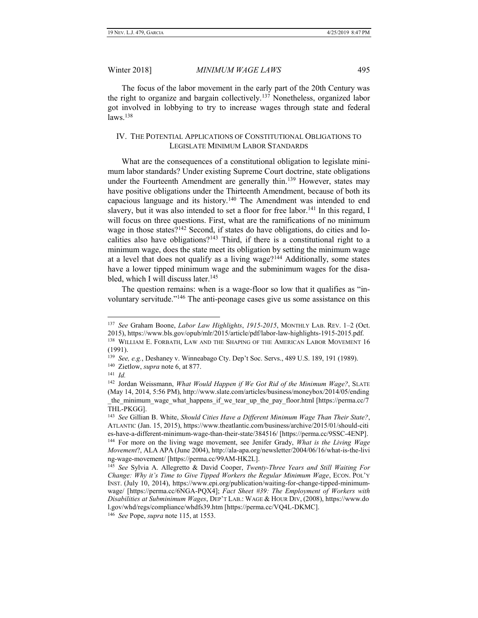The focus of the labor movement in the early part of the 20th Century was the right to organize and bargain collectively.<sup>137</sup> Nonetheless, organized labor got involved in lobbying to try to increase wages through state and federal laws. 138

# <span id="page-16-0"></span>IV. THE POTENTIAL APPLICATIONS OF CONSTITUTIONAL OBLIGATIONS TO LEGISLATE MINIMUM LABOR STANDARDS

What are the consequences of a constitutional obligation to legislate minimum labor standards? Under existing Supreme Court doctrine, state obligations under the Fourteenth Amendment are generally thin.<sup>139</sup> However, states may have positive obligations under the Thirteenth Amendment, because of both its capacious language and its history.<sup>140</sup> The Amendment was intended to end slavery, but it was also intended to set a floor for free labor.<sup>141</sup> In this regard, I will focus on three questions. First, what are the ramifications of no minimum wage in those states?<sup>142</sup> Second, if states do have obligations, do cities and localities also have obligations?<sup>143</sup> Third, if there is a constitutional right to a minimum wage, does the state meet its obligation by setting the minimum wage at a level that does not qualify as a living wage?<sup>144</sup> Additionally, some states have a lower tipped minimum wage and the subminimum wages for the disabled, which I will discuss later.<sup>145</sup>

The question remains: when is a wage-floor so low that it qualifies as "involuntary servitude."<sup>146</sup> The anti-peonage cases give us some assistance on this

<sup>137</sup> *See* Graham Boone, *Labor Law Highlights*, *1915-2015*, MONTHLY LAB. REV. 1–2 (Oct. 2015), https://www.bls.gov/opub/mlr/2015/article/pdf/labor-law-highlights-1915-2015.pdf. <sup>138</sup> WILLIAM E. FORBATH, LAW AND THE SHAPING OF THE AMERICAN LABOR MOVEMENT 16 (1991).

<sup>139</sup> *See, e.g.*, Deshaney v. Winneabago Cty. Dep't Soc. Servs., 489 U.S. 189, 191 (1989).

<sup>140</sup> Zietlow, *supra* note 6, at 877.

<sup>141</sup> *Id.*

<sup>&</sup>lt;sup>142</sup> Jordan Weissmann, *What Would Happen if We Got Rid of the Minimum Wage?*, SLATE (May 14, 2014, 5:56 PM), http://www.slate.com/articles/business/moneybox/2014/05/ending the minimum wage what happens if we tear up the pay floor.html [https://perma.cc/7 THL-PKGG].

<sup>143</sup> *See* Gillian B. White, *Should Cities Have a Different Minimum Wage Than Their State?*, ATLANTIC (Jan. 15, 2015), https://www.theatlantic.com/business/archive/2015/01/should-citi es-have-a-different-minimum-wage-than-their-state/384516/ [https://perma.cc/9SSC-4ENP].

<sup>144</sup> For more on the living wage movement, see Jenifer Grady, *What is the Living Wage Movement*?, ALA APA (June 2004), http://ala-apa.org/newsletter/2004/06/16/what-is-the-livi ng-wage-movement/ [https://perma.cc/99AM-HK2L].

<sup>145</sup> *See* Sylvia A. Allegretto & David Cooper, *Twenty-Three Years and Still Waiting For Change: Why it's Time to Give Tipped Workers the Regular Minimum Wage*, ECON. POL'Y INST. (July 10, 2014), https://www.epi.org/publication/waiting-for-change-tipped-minimumwage/ [https://perma.cc/6NGA-PQX4]; *Fact Sheet #39: The Employment of Workers with Disabilities at Subminimum Wages*, DEP'T LAB.: WAGE & HOUR DIV, (2008), https://www.do l.gov/whd/regs/compliance/whdfs39.htm [https://perma.cc/VQ4L-DKMC].

<sup>146</sup> *See* Pope, *supra* note 115, at 1553.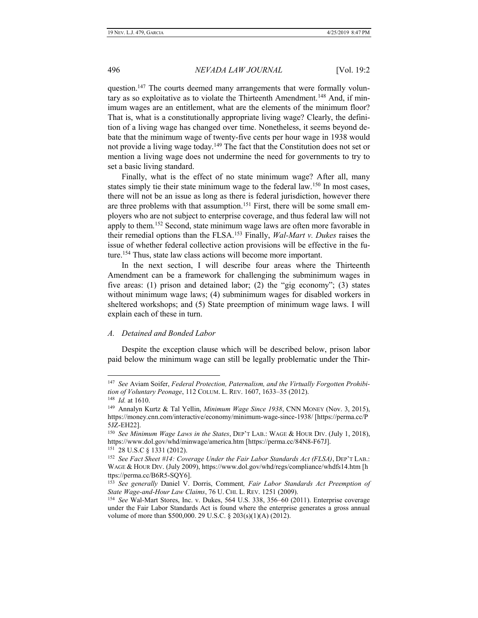question.<sup>147</sup> The courts deemed many arrangements that were formally voluntary as so exploitative as to violate the Thirteenth Amendment.<sup>148</sup> And, if minimum wages are an entitlement, what are the elements of the minimum floor? That is, what is a constitutionally appropriate living wage? Clearly, the definition of a living wage has changed over time. Nonetheless, it seems beyond debate that the minimum wage of twenty-five cents per hour wage in 1938 would not provide a living wage today.<sup>149</sup> The fact that the Constitution does not set or mention a living wage does not undermine the need for governments to try to set a basic living standard.

Finally, what is the effect of no state minimum wage? After all, many states simply tie their state minimum wage to the federal law.<sup>150</sup> In most cases, there will not be an issue as long as there is federal jurisdiction, however there are three problems with that assumption.<sup>151</sup> First, there will be some small employers who are not subject to enterprise coverage, and thus federal law will not apply to them.<sup>152</sup> Second, state minimum wage laws are often more favorable in their remedial options than the FLSA.<sup>153</sup> Finally, *Wal-Mart v. Dukes* raises the issue of whether federal collective action provisions will be effective in the future.<sup>154</sup> Thus, state law class actions will become more important.

In the next section, I will describe four areas where the Thirteenth Amendment can be a framework for challenging the subminimum wages in five areas: (1) prison and detained labor; (2) the "gig economy"; (3) states without minimum wage laws; (4) subminimum wages for disabled workers in sheltered workshops; and (5) State preemption of minimum wage laws. I will explain each of these in turn.

### <span id="page-17-0"></span>*A. Detained and Bonded Labor*

Despite the exception clause which will be described below, prison labor paid below the minimum wage can still be legally problematic under the Thir-

<sup>147</sup> *See* Aviam Soifer, *Federal Protection, Paternalism, and the Virtually Forgotten Prohibition of Voluntary Peonage*, 112 COLUM. L. REV. 1607, 1633–35 (2012).

<sup>148</sup> *Id.* at 1610.

<sup>149</sup> Annalyn Kurtz & Tal Yellin, *Minimum Wage Since 1938*, CNN MONEY (Nov. 3, 2015), https://money.cnn.com/interactive/economy/minimum-wage-since-1938/ [https://perma.cc/P 5JZ-EH22].

<sup>150</sup> *See Minimum Wage Laws in the States*, DEP'T LAB.: WAGE & HOUR DIV. (July 1, 2018), https://www.dol.gov/whd/minwage/america.htm [https://perma.cc/84N8-F67J]. 151 28 U.S.C § 1331 (2012).

<sup>152</sup> *See Fact Sheet #14: Coverage Under the Fair Labor Standards Act (FLSA)*, DEP'T LAB.: WAGE & HOUR DIV. (July 2009), https://www.dol.gov/whd/regs/compliance/whdfs14.htm [h ttps://perma.cc/B6R5-SQY6].

<sup>153</sup> *See generally* Daniel V. Dorris, Comment*, Fair Labor Standards Act Preemption of State Wage-and-Hour Law Claims*, 76 U. CHI. L. REV. 1251 (2009).

<sup>154</sup> *See* Wal-Mart Stores, Inc. v. Dukes, 564 U.S. 338, 356–60 (2011). Enterprise coverage under the Fair Labor Standards Act is found where the enterprise generates a gross annual volume of more than \$500,000. 29 U.S.C. § 203(s)(1)(A) (2012).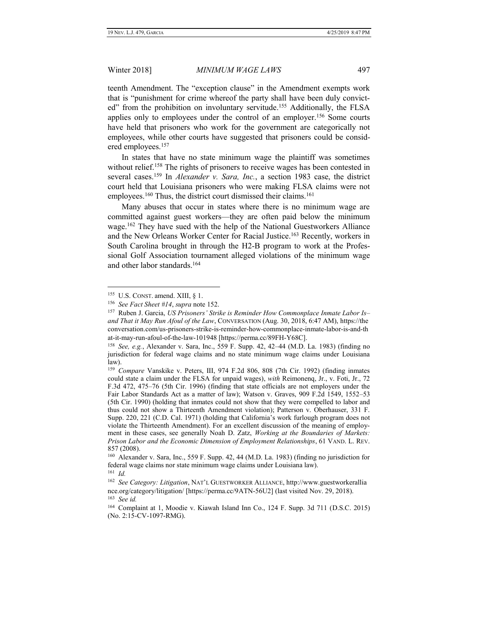teenth Amendment. The "exception clause" in the Amendment exempts work that is "punishment for crime whereof the party shall have been duly convicted" from the prohibition on involuntary servitude.<sup>155</sup> Additionally, the FLSA applies only to employees under the control of an employer.<sup>156</sup> Some courts have held that prisoners who work for the government are categorically not employees, while other courts have suggested that prisoners could be considered employees.<sup>157</sup>

In states that have no state minimum wage the plaintiff was sometimes without relief.<sup>158</sup> The rights of prisoners to receive wages has been contested in several cases.<sup>159</sup> In *Alexander v. Sara, Inc.*, a section 1983 case, the district court held that Louisiana prisoners who were making FLSA claims were not employees.<sup>160</sup> Thus, the district court dismissed their claims.<sup>161</sup>

Many abuses that occur in states where there is no minimum wage are committed against guest workers—they are often paid below the minimum wage.<sup>162</sup> They have sued with the help of the National Guestworkers Alliance and the New Orleans Worker Center for Racial Justice.<sup>163</sup> Recently, workers in South Carolina brought in through the H2-B program to work at the Professional Golf Association tournament alleged violations of the minimum wage and other labor standards.<sup>164</sup>

 $155$  U.S. CONST. amend. XIII, § 1.

<sup>156</sup> *See Fact Sheet #14*, *supra* note 152.

<sup>157</sup> Ruben J. Garcia, *US Prisoners' Strike is Reminder How Commonplace Inmate Labor Is– and That it May Run Afoul of the Law*, CONVERSATION (Aug. 30, 2018, 6:47 AM), https://the conversation.com/us-prisoners-strike-is-reminder-how-commonplace-inmate-labor-is-and-th at-it-may-run-afoul-of-the-law-101948 [https://perma.cc/89FH-Y68C].

<sup>158</sup> *See, e.g.*, Alexander v. Sara, Inc., 559 F. Supp. 42, 42–44 (M.D. La. 1983) (finding no jurisdiction for federal wage claims and no state minimum wage claims under Louisiana law).

<sup>&</sup>lt;sup>159</sup> Compare Vanskike v. Peters, III, 974 F.2d 806, 808 (7th Cir. 1992) (finding inmates could state a claim under the FLSA for unpaid wages), *with* Reimonenq, Jr., v. Foti, Jr., 72 F.3d 472, 475–76 (5th Cir. 1996) (finding that state officials are not employers under the Fair Labor Standards Act as a matter of law); Watson v. Graves, 909 F.2d 1549, 1552–53 (5th Cir. 1990) (holding that inmates could not show that they were compelled to labor and thus could not show a Thirteenth Amendment violation); Patterson v. Oberhauser, 331 F. Supp. 220, 221 (C.D. Cal. 1971) (holding that California's work furlough program does not violate the Thirteenth Amendment). For an excellent discussion of the meaning of employment in these cases, see generally Noah D. Zatz, *Working at the Boundaries of Markets: Prison Labor and the Economic Dimension of Employment Relationships*, 61 VAND. L. REV. 857 (2008).

<sup>160</sup> Alexander v. Sara, Inc., 559 F. Supp. 42, 44 (M.D. La. 1983) (finding no jurisdiction for federal wage claims nor state minimum wage claims under Louisiana law).

<sup>161</sup> *Id.*

<sup>162</sup> *See Category: Litigation*, NAT'L GUESTWORKER ALLIANCE, http://www.guestworkerallia nce.org/category/litigation/ [https://perma.cc/9ATN-56U2] (last visited Nov. 29, 2018). 163 *See id.*

<sup>164</sup> Complaint at 1, Moodie v. Kiawah Island Inn Co., 124 F. Supp. 3d 711 (D.S.C. 2015) (No. 2:15-CV-1097-RMG).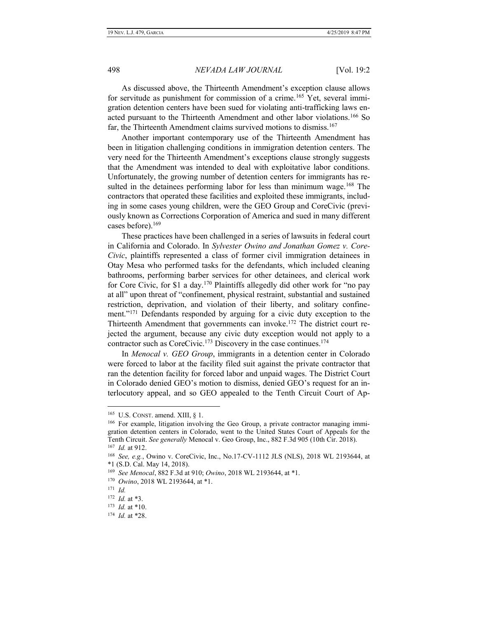As discussed above, the Thirteenth Amendment's exception clause allows for servitude as punishment for commission of a crime.<sup>165</sup> Yet, several immigration detention centers have been sued for violating anti-trafficking laws enacted pursuant to the Thirteenth Amendment and other labor violations.<sup>166</sup> So far, the Thirteenth Amendment claims survived motions to dismiss.<sup>167</sup>

Another important contemporary use of the Thirteenth Amendment has been in litigation challenging conditions in immigration detention centers. The very need for the Thirteenth Amendment's exceptions clause strongly suggests that the Amendment was intended to deal with exploitative labor conditions. Unfortunately, the growing number of detention centers for immigrants has resulted in the detainees performing labor for less than minimum wage.<sup>168</sup> The contractors that operated these facilities and exploited these immigrants, including in some cases young children, were the GEO Group and CoreCivic (previously known as Corrections Corporation of America and sued in many different cases before).<sup>169</sup>

These practices have been challenged in a series of lawsuits in federal court in California and Colorado. In *Sylvester Owino and Jonathan Gomez v. Core-Civic*, plaintiffs represented a class of former civil immigration detainees in Otay Mesa who performed tasks for the defendants, which included cleaning bathrooms, performing barber services for other detainees, and clerical work for Core Civic, for \$1 a day.<sup>170</sup> Plaintiffs allegedly did other work for "no pay at all" upon threat of "confinement, physical restraint, substantial and sustained restriction, deprivation, and violation of their liberty, and solitary confinement."<sup>171</sup> Defendants responded by arguing for a civic duty exception to the Thirteenth Amendment that governments can invoke.<sup>172</sup> The district court rejected the argument, because any civic duty exception would not apply to a contractor such as CoreCivic.<sup>173</sup> Discovery in the case continues.<sup>174</sup>

In *Menocal v. GEO Group*, immigrants in a detention center in Colorado were forced to labor at the facility filed suit against the private contractor that ran the detention facility for forced labor and unpaid wages. The District Court in Colorado denied GEO's motion to dismiss, denied GEO's request for an interlocutory appeal, and so GEO appealed to the Tenth Circuit Court of Ap-

<sup>165</sup> U.S. CONST. amend. XIII, § 1.

<sup>&</sup>lt;sup>166</sup> For example, litigation involving the Geo Group, a private contractor managing immigration detention centers in Colorado, went to the United States Court of Appeals for the Tenth Circuit. *See generally* Menocal v. Geo Group, Inc., 882 F.3d 905 (10th Cir. 2018). 167 *Id.* at 912.

<sup>168</sup> *See, e.g.*, Owino v. CoreCivic, Inc., No.17-CV-1112 JLS (NLS), 2018 WL 2193644, at \*1 (S.D. Cal. May 14, 2018).

<sup>169</sup> *See Menocal*, 882 F.3d at 910; *Owino*, 2018 WL 2193644, at \*1.

<sup>170</sup>  *Owino*, 2018 WL 2193644, at \*1.

<sup>171</sup> *Id.*

<sup>172</sup> *Id.* at \*3.

<sup>173</sup> *Id.* at \*10.

<sup>174</sup> *Id.* at \*28.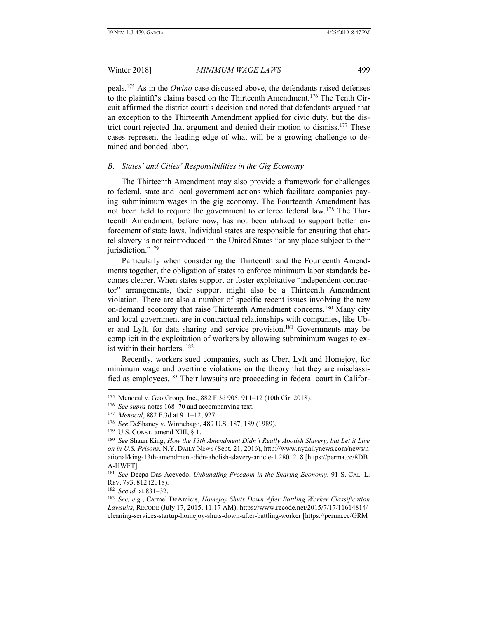peals.<sup>175</sup> As in the *Owino* case discussed above, the defendants raised defenses to the plaintiff's claims based on the Thirteenth Amendment.<sup>176</sup> The Tenth Circuit affirmed the district court's decision and noted that defendants argued that an exception to the Thirteenth Amendment applied for civic duty, but the district court rejected that argument and denied their motion to dismiss.<sup>177</sup> These cases represent the leading edge of what will be a growing challenge to detained and bonded labor.

#### <span id="page-20-0"></span>*B. States' and Cities' Responsibilities in the Gig Economy*

The Thirteenth Amendment may also provide a framework for challenges to federal, state and local government actions which facilitate companies paying subminimum wages in the gig economy. The Fourteenth Amendment has not been held to require the government to enforce federal law.<sup>178</sup> The Thirteenth Amendment, before now, has not been utilized to support better enforcement of state laws. Individual states are responsible for ensuring that chattel slavery is not reintroduced in the United States "or any place subject to their jurisdiction."<sup>179</sup>

Particularly when considering the Thirteenth and the Fourteenth Amendments together, the obligation of states to enforce minimum labor standards becomes clearer. When states support or foster exploitative "independent contractor" arrangements, their support might also be a Thirteenth Amendment violation. There are also a number of specific recent issues involving the new on-demand economy that raise Thirteenth Amendment concerns.<sup>180</sup> Many city and local government are in contractual relationships with companies, like Uber and Lyft, for data sharing and service provision.<sup>181</sup> Governments may be complicit in the exploitation of workers by allowing subminimum wages to exist within their borders. <sup>182</sup>

Recently, workers sued companies, such as Uber, Lyft and Homejoy, for minimum wage and overtime violations on the theory that they are misclassified as employees.<sup>183</sup> Their lawsuits are proceeding in federal court in Califor-

<sup>175</sup> Menocal v. Geo Group, Inc., 882 F.3d 905, 911–12 (10th Cir. 2018).

<sup>&</sup>lt;sup>176</sup> See supra notes 168–70 and accompanying text.

<sup>177</sup> *Menocal*, 882 F.3d at 911–12, 927.

<sup>178</sup> *See* DeShaney v. Winnebago, 489 U.S. 187, 189 (1989).

 $179$  U.S. CONST. amend XIII, § 1.

<sup>180</sup> *See* Shaun King, *How the 13th Amendment Didn't Really Abolish Slavery, but Let it Live on in U.S. Prisons*, N.Y. DAILY NEWS (Sept. 21, 2016), http://www.nydailynews.com/news/n ational/king-13th-amendment-didn-abolish-slavery-article-1.2801218 [https://perma.cc/8DB A-HWFT].

<sup>181</sup> *See* Deepa Das Acevedo, *Unbundling Freedom in the Sharing Economy*, 91 S. CAL. L. REV. 793, 812 (2018).

<sup>182</sup> *See id.* at 831–32.

<sup>183</sup> *See, e.g.*, Carmel DeAmicis, *Homejoy Shuts Down After Battling Worker Classification Lawsuits*, RECODE (July 17, 2015, 11:17 AM), https://www.recode.net/2015/7/17/11614814/ cleaning-services-startup-homejoy-shuts-down-after-battling-worker [https://perma.cc/GRM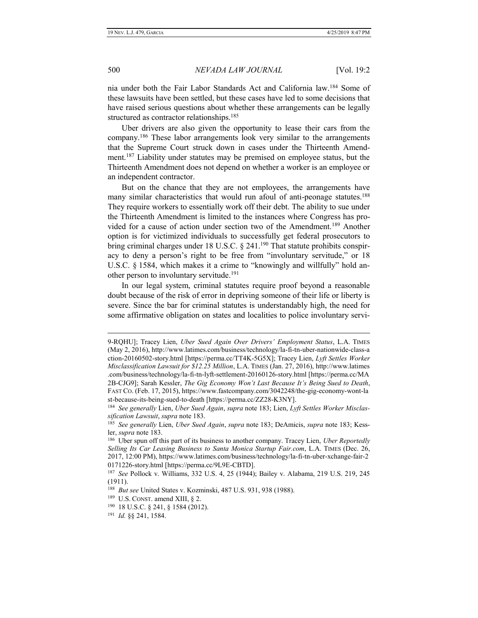nia under both the Fair Labor Standards Act and California law.<sup>184</sup> Some of these lawsuits have been settled, but these cases have led to some decisions that have raised serious questions about whether these arrangements can be legally structured as contractor relationships.<sup>185</sup>

Uber drivers are also given the opportunity to lease their cars from the company.<sup>186</sup> These labor arrangements look very similar to the arrangements that the Supreme Court struck down in cases under the Thirteenth Amendment.<sup>187</sup> Liability under statutes may be premised on employee status, but the Thirteenth Amendment does not depend on whether a worker is an employee or an independent contractor.

But on the chance that they are not employees, the arrangements have many similar characteristics that would run afoul of anti-peonage statutes.<sup>188</sup> They require workers to essentially work off their debt. The ability to sue under the Thirteenth Amendment is limited to the instances where Congress has provided for a cause of action under section two of the Amendment.<sup>189</sup> Another option is for victimized individuals to successfully get federal prosecutors to bring criminal charges under 18 U.S.C. § 241.<sup>190</sup> That statute prohibits conspiracy to deny a person's right to be free from "involuntary servitude," or 18 U.S.C. § 1584, which makes it a crime to "knowingly and willfully" hold another person to involuntary servitude.<sup>191</sup>

In our legal system, criminal statutes require proof beyond a reasonable doubt because of the risk of error in depriving someone of their life or liberty is severe. Since the bar for criminal statutes is understandably high, the need for some affirmative obligation on states and localities to police involuntary servi-

<sup>9-</sup>RQHU]; Tracey Lien, *Uber Sued Again Over Drivers' Employment Status*, L.A. TIMES (May 2, 2016), http://www.latimes.com/business/technology/la-fi-tn-uber-nationwide-class-a ction-20160502-story.html [https://perma.cc/TT4K-5G5X]; Tracey Lien, *Lyft Settles Worker Misclassification Lawsuit for \$12.25 Million*, L.A. TIMES (Jan. 27, 2016), http://www.latimes .com/business/technology/la-fi-tn-lyft-settlement-20160126-story.html [https://perma.cc/MA 2B-CJG9]; Sarah Kessler, *The Gig Economy Won't Last Because It's Being Sued to Death*, FAST CO. (Feb. 17, 2015), https://www.fastcompany.com/3042248/the-gig-economy-wont-la st-because-its-being-sued-to-death [https://perma.cc/ZZ28-K3NY].

<sup>184</sup> *See generally* Lien, *Uber Sued Again*, *supra* note 183; Lien, *Lyft Settles Worker Misclassification Lawsuit*, *supra* note 183.

<sup>185</sup> *See generally* Lien, *Uber Sued Again*, *supra* note 183; DeAmicis, *supra* note 183; Kessler, *supra* note 183.

<sup>186</sup> Uber spun off this part of its business to another company. Tracey Lien, *Uber Reportedly Selling Its Car Leasing Business to Santa Monica Startup Fair.com*, L.A. TIMES (Dec. 26, 2017, 12:00 PM), https://www.latimes.com/business/technology/la-fi-tn-uber-xchange-fair-2 0171226-story.html [https://perma.cc/9L9E-CBTD].

<sup>187</sup> *See* Pollock v. Williams, 332 U.S. 4, 25 (1944); Bailey v. Alabama, 219 U.S. 219, 245 (1911).

<sup>188</sup> *But see* United States v. Kozminski, 487 U.S. 931, 938 (1988).

 $189$  U.S. CONST. amend XIII, § 2.

<sup>190</sup> 18 U.S.C. § 241, § 1584 (2012).

<sup>191</sup> *Id.* §§ 241, 1584.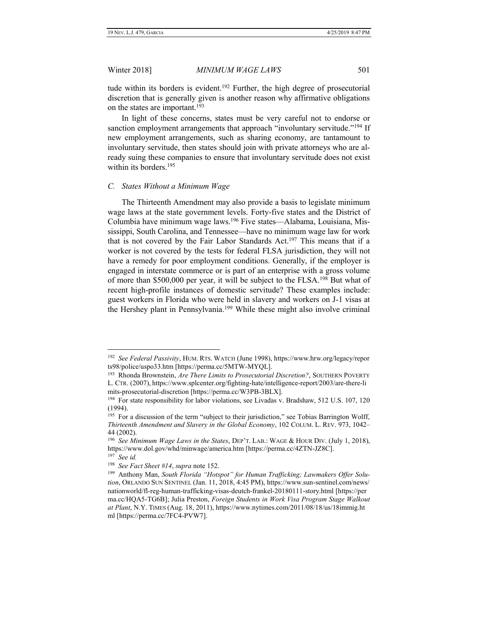tude within its borders is evident.<sup>192</sup> Further, the high degree of prosecutorial discretion that is generally given is another reason why affirmative obligations on the states are important.<sup>193</sup>

In light of these concerns, states must be very careful not to endorse or sanction employment arrangements that approach "involuntary servitude."<sup>194</sup> If new employment arrangements, such as sharing economy, are tantamount to involuntary servitude, then states should join with private attorneys who are already suing these companies to ensure that involuntary servitude does not exist within its borders.<sup>195</sup>

#### <span id="page-22-0"></span>*C. States Without a Minimum Wage*

The Thirteenth Amendment may also provide a basis to legislate minimum wage laws at the state government levels. Forty-five states and the District of Columbia have minimum wage laws.<sup>196</sup> Five states—Alabama, Louisiana, Mississippi, South Carolina, and Tennessee—have no minimum wage law for work that is not covered by the Fair Labor Standards Act.<sup>197</sup> This means that if a worker is not covered by the tests for federal FLSA jurisdiction, they will not have a remedy for poor employment conditions. Generally, if the employer is engaged in interstate commerce or is part of an enterprise with a gross volume of more than \$500,000 per year, it will be subject to the FLSA.<sup>198</sup> But what of recent high-profile instances of domestic servitude? These examples include: guest workers in Florida who were held in slavery and workers on J-1 visas at the Hershey plant in Pennsylvania.<sup>199</sup> While these might also involve criminal

<sup>192</sup> *See Federal Passivity*, HUM. RTS. WATCH (June 1998), https://www.hrw.org/legacy/repor ts98/police/uspo33.htm [https://perma.cc/5MTW-MYQL].

<sup>&</sup>lt;sup>193</sup> Rhonda Brownstein, *Are There Limits to Prosecutorial Discretion?*, SOUTHERN POVERTY L. CTR. (2007), https://www.splcenter.org/fighting-hate/intelligence-report/2003/are-there-li mits-prosecutorial-discretion [https://perma.cc/W3PB-3BLX].

<sup>&</sup>lt;sup>194</sup> For state responsibility for labor violations, see Livadas v. Bradshaw, 512 U.S. 107, 120 (1994).

<sup>&</sup>lt;sup>195</sup> For a discussion of the term "subject to their jurisdiction," see Tobias Barrington Wolff, *Thirteenth Amendment and Slavery in the Global Economy*, 102 COLUM. L. REV. 973, 1042– 44 (2002).

<sup>196</sup> *See Minimum Wage Laws in the States*, DEP'T. LAB.: WAGE & HOUR DIV. (July 1, 2018), https://www.dol.gov/whd/minwage/america.htm [https://perma.cc/4ZTN-JZ8C]. <sup>197</sup> *See id.*

<sup>198</sup> *See Fact Sheet #14*, *supra* note 152.

<sup>199</sup> Anthony Man, *South Florida "Hotspot" for Human Trafficking; Lawmakers Offer Solution*, ORLANDO SUN SENTINEL (Jan. 11, 2018, 4:45 PM), https://www.sun-sentinel.com/news/ nationworld/fl-reg-human-trafficking-visas-deutch-frankel-20180111-story.html [https://per ma.cc/HQA5-TG6B]; Julia Preston, *Foreign Students in Work Visa Program Stage Walkout at Plant*, N.Y. TIMES (Aug. 18, 2011), https://www.nytimes.com/2011/08/18/us/18immig.ht ml [https://perma.cc/7FC4-PVW7].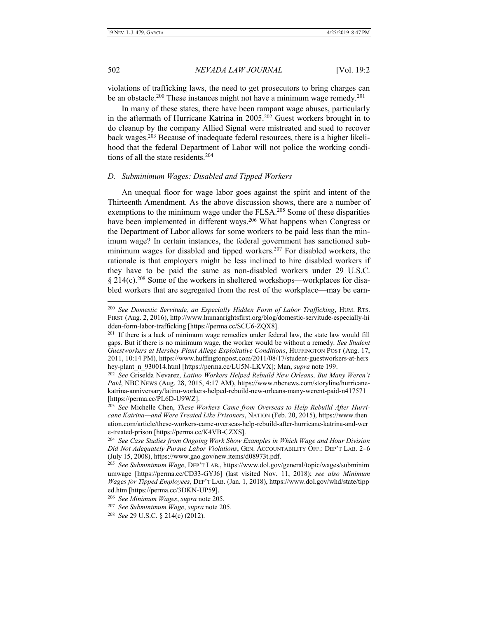violations of trafficking laws, the need to get prosecutors to bring charges can be an obstacle.<sup>200</sup> These instances might not have a minimum wage remedy.<sup>201</sup>

In many of these states, there have been rampant wage abuses, particularly in the aftermath of Hurricane Katrina in 2005.<sup>202</sup> Guest workers brought in to do cleanup by the company Allied Signal were mistreated and sued to recover back wages.<sup>203</sup> Because of inadequate federal resources, there is a higher likelihood that the federal Department of Labor will not police the working conditions of all the state residents.<sup>204</sup>

# <span id="page-23-0"></span>*D. Subminimum Wages: Disabled and Tipped Workers*

An unequal floor for wage labor goes against the spirit and intent of the Thirteenth Amendment. As the above discussion shows, there are a number of exemptions to the minimum wage under the FLSA.<sup>205</sup> Some of these disparities have been implemented in different ways.<sup>206</sup> What happens when Congress or the Department of Labor allows for some workers to be paid less than the minimum wage? In certain instances, the federal government has sanctioned subminimum wages for disabled and tipped workers.<sup>207</sup> For disabled workers, the rationale is that employers might be less inclined to hire disabled workers if they have to be paid the same as non-disabled workers under 29 U.S.C.  $§$  214(c).<sup>208</sup> Some of the workers in sheltered workshops—workplaces for disabled workers that are segregated from the rest of the workplace—may be earn-

<sup>200</sup> *See Domestic Servitude, an Especially Hidden Form of Labor Trafficking*, HUM. RTS. FIRST (Aug. 2, 2016), http://www.humanrightsfirst.org/blog/domestic-servitude-especially-hi dden-form-labor-trafficking [https://perma.cc/SCU6-ZQX8].

<sup>&</sup>lt;sup>201</sup> If there is a lack of minimum wage remedies under federal law, the state law would fill gaps. But if there is no minimum wage, the worker would be without a remedy. *See Student Guestworkers at Hershey Plant Allege Exploitative Conditions*, HUFFINGTON POST (Aug. 17, 2011, 10:14 PM), https://www.huffingtonpost.com/2011/08/17/student-guestworkers-at-hers hey-plant\_n\_930014.html [https://perma.cc/LU5N-LKVX]; Man, *supra* note 199.

<sup>202</sup> *See* Griselda Nevarez, *Latino Workers Helped Rebuild New Orleans, But Many Weren't Paid*, NBC NEWS (Aug. 28, 2015, 4:17 AM), https://www.nbcnews.com/storyline/hurricanekatrina-anniversary/latino-workers-helped-rebuild-new-orleans-many-werent-paid-n417571 [https://perma.cc/PL6D-U9WZ].

<sup>203</sup> *See* Michelle Chen, *These Workers Came from Overseas to Help Rebuild After Hurricane Katrina—and Were Treated Like Prisoners*, NATION (Feb. 20, 2015), https://www.then ation.com/article/these-workers-came-overseas-help-rebuild-after-hurricane-katrina-and-wer e-treated-prison [https://perma.cc/K4VB-CZXS].

<sup>204</sup> *See Case Studies from Ongoing Work Show Examples in Which Wage and Hour Division Did Not Adequately Pursue Labor Violations*, GEN. ACCOUNTABILITY OFF.: DEP'T LAB. 2–6 (July 15, 2008), https://www.gao.gov/new.items/d08973t.pdf.

<sup>205</sup> *See Subminimum Wage*, DEP'T LAB., https://www.dol.gov/general/topic/wages/subminim umwage [https://perma.cc/CD33-GYJ6] (last visited Nov. 11, 2018); *see also Minimum Wages for Tipped Employees*, DEP'T LAB. (Jan. 1, 2018), https://www.dol.gov/whd/state/tipp ed.htm [https://perma.cc/3DKN-UP59].

<sup>206</sup> *See Minimum Wages*, *supra* note 205.

<sup>207</sup>  *See Subminimum Wage*, *supra* note 205.

<sup>208</sup> *See* 29 U.S.C. § 214(c) (2012).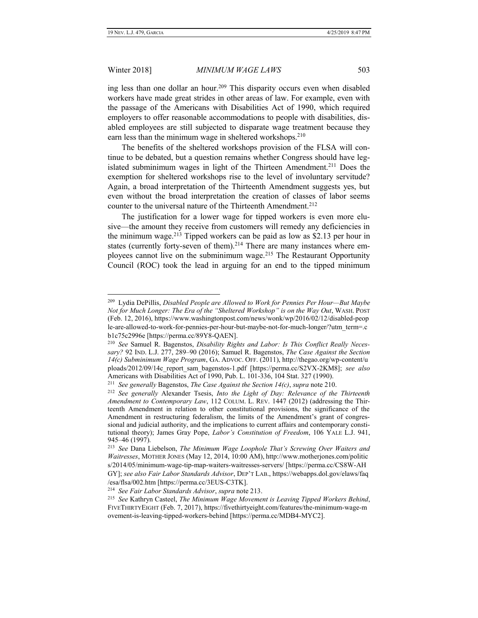$\overline{a}$ 

#### Winter 2018] *MINIMUM WAGE LAWS* 503

ing less than one dollar an hour.<sup>209</sup> This disparity occurs even when disabled workers have made great strides in other areas of law. For example, even with the passage of the Americans with Disabilities Act of 1990, which required employers to offer reasonable accommodations to people with disabilities, disabled employees are still subjected to disparate wage treatment because they earn less than the minimum wage in sheltered workshops.<sup>210</sup>

The benefits of the sheltered workshops provision of the FLSA will continue to be debated, but a question remains whether Congress should have legislated subminimum wages in light of the Thirteen Amendment.<sup>211</sup> Does the exemption for sheltered workshops rise to the level of involuntary servitude? Again, a broad interpretation of the Thirteenth Amendment suggests yes, but even without the broad interpretation the creation of classes of labor seems counter to the universal nature of the Thirteenth Amendment.<sup>212</sup>

The justification for a lower wage for tipped workers is even more elusive—the amount they receive from customers will remedy any deficiencies in the minimum wage.<sup>213</sup> Tipped workers can be paid as low as \$2.13 per hour in states (currently forty-seven of them).<sup>214</sup> There are many instances where employees cannot live on the subminimum wage.<sup>215</sup> The Restaurant Opportunity Council (ROC) took the lead in arguing for an end to the tipped minimum

<sup>209</sup> Lydia DePillis, *Disabled People are Allowed to Work for Pennies Per Hour—But Maybe Not for Much Longer: The Era of the "Sheltered Workshop" is on the Way Out*, WASH. POST (Feb. 12, 2016), https://www.washingtonpost.com/news/wonk/wp/2016/02/12/disabled-peop le-are-allowed-to-work-for-pennies-per-hour-but-maybe-not-for-much-longer/?utm\_term=.c b1c75c2996e [https://perma.cc/89Y8-QAEN].

<sup>210</sup> *See* Samuel R. Bagenstos, *Disability Rights and Labor: Is This Conflict Really Necessary?* 92 IND. L.J. 277, 289–90 (2016); Samuel R. Bagenstos, *The Case Against the Section 14(c) Subminimum Wage Program*, GA. ADVOC. OFF. (2011), http://thegao.org/wp-content/u ploads/2012/09/14c\_report\_sam\_bagenstos-1.pdf [https://perma.cc/S2VX-2KM8]; *see also* Americans with Disabilities Act of 1990, Pub. L. 101-336, 104 Stat. 327 (1990).

<sup>211</sup> *See generally* Bagenstos, *The Case Against the Section 14(c)*, *supra* note 210.

<sup>212</sup> *See generally* Alexander Tsesis, *Into the Light of Day: Relevance of the Thirteenth Amendment to Contemporary Law*, 112 COLUM. L. REV. 1447 (2012) (addressing the Thirteenth Amendment in relation to other constitutional provisions, the significance of the Amendment in restructuring federalism, the limits of the Amendment's grant of congressional and judicial authority, and the implications to current affairs and contemporary constitutional theory); James Gray Pope, *Labor's Constitution of Freedom*, 106 YALE L.J. 941, 945–46 (1997).

<sup>213</sup> *See* Dana Liebelson, *The Minimum Wage Loophole That's Screwing Over Waiters and Waitresses*, MOTHER JONES (May 12, 2014, 10:00 AM), http://www.motherjones.com/politic s/2014/05/minimum-wage-tip-map-waiters-waitresses-servers/ [https://perma.cc/CS8W-AH GY]; *see also Fair Labor Standards Advisor*, DEP'T LAB., https://webapps.dol.gov/elaws/faq /esa/flsa/002.htm [https://perma.cc/3EUS-C3TK].

<sup>214</sup> *See Fair Labor Standards Advisor*, *supra* note 213.

<sup>215</sup> *See* Kathryn Casteel, *The Minimum Wage Movement is Leaving Tipped Workers Behind*, FIVETHIRTYEIGHT (Feb. 7, 2017), https://fivethirtyeight.com/features/the-minimum-wage-m ovement-is-leaving-tipped-workers-behind [https://perma.cc/MDB4-MYC2].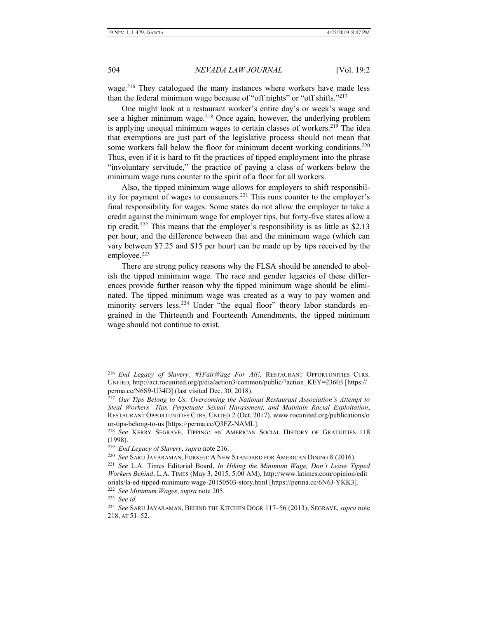wage.<sup>216</sup> They catalogued the many instances where workers have made less than the federal minimum wage because of "off nights" or "off shifts."<sup>217</sup>

One might look at a restaurant worker's entire day's or week's wage and see a higher minimum wage. $218$  Once again, however, the underlying problem is applying unequal minimum wages to certain classes of workers.<sup>219</sup> The idea that exemptions are just part of the legislative process should not mean that some workers fall below the floor for minimum decent working conditions.<sup>220</sup> Thus, even if it is hard to fit the practices of tipped employment into the phrase "involuntary servitude," the practice of paying a class of workers below the minimum wage runs counter to the spirit of a floor for all workers.

Also, the tipped minimum wage allows for employers to shift responsibility for payment of wages to consumers.<sup>221</sup> This runs counter to the employer's final responsibility for wages. Some states do not allow the employer to take a credit against the minimum wage for employer tips, but forty-five states allow a tip credit.<sup>222</sup> This means that the employer's responsibility is as little as \$2.13 per hour, and the difference between that and the minimum wage (which can vary between \$7.25 and \$15 per hour) can be made up by tips received by the employee.<sup>223</sup>

There are strong policy reasons why the FLSA should be amended to abolish the tipped minimum wage. The race and gender legacies of these differences provide further reason why the tipped minimum wage should be eliminated. The tipped minimum wage was created as a way to pay women and minority servers less.<sup>224</sup> Under "the equal floor" theory labor standards engrained in the Thirteenth and Fourteenth Amendments, the tipped minimum wage should not continue to exist.

<sup>216</sup> *End Legacy of Slavery: #1FairWage For All!*, RESTAURANT OPPORTUNITIES CTRS. UNITED, http://act.rocunited.org/p/dia/action3/common/public/?action\_KEY=23603 [https:// perma.cc/N6S9-U34D] (last visited Dec. 30, 2018).

<sup>217</sup> *Our Tips Belong to Us: Overcoming the National Restaurant Association's Attempt to Steal Workers' Tips, Perpetuate Sexual Harassment, and Maintain Racial Exploitation*, RESTAURANT OPPORTUNITIES CTRS. UNITED 2 (Oct. 2017), www.rocunited.org/publications/o ur-tips-belong-to-us [https://perma.cc/Q3FZ-NAML].

<sup>218</sup> *See* KERRY SEGRAVE, TIPPING: AN AMERICAN SOCIAL HISTORY OF GRATUITIES 118 (1998).

<sup>219</sup> *End Legacy of Slavery*, *supra* note 216.

<sup>220</sup> *See* SARU JAYARAMAN, FORKED: A NEW STANDARD FOR AMERICAN DINING 8 (2016).

<sup>221</sup> *See* L.A. Times Editorial Board, *In Hiking the Minimum Wage, Don't Leave Tipped Workers Behind*, L.A. TIMES (May 3, 2015, 5:00 AM), http://www.latimes.com/opinion/edit orials/la-ed-tipped-minimum-wage-20150503-story.html [https://perma.cc/6N6J-YKK3].

<sup>222</sup> *See Minimum Wages*, *supra* note 205.

<sup>223</sup> *See id.*

<sup>224</sup> *See* SARU JAYARAMAN, BEHIND THE KITCHEN DOOR 117–56 (2013); SEGRAVE, *supra* note 218, AT 51–52.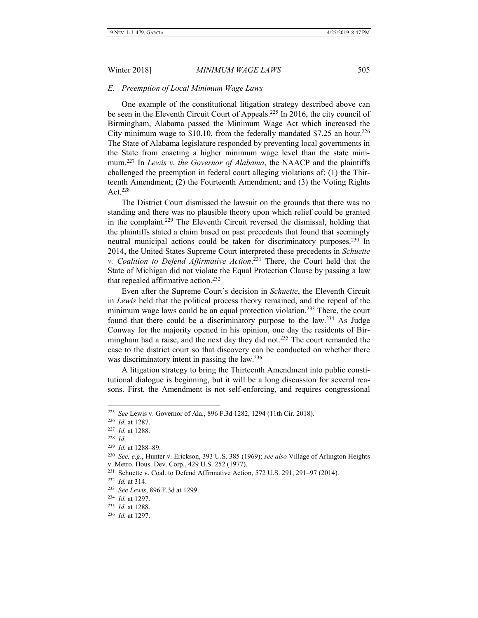#### <span id="page-26-0"></span>*E. Preemption of Local Minimum Wage Laws*

One example of the constitutional litigation strategy described above can be seen in the Eleventh Circuit Court of Appeals.<sup>225</sup> In 2016, the city council of Birmingham, Alabama passed the Minimum Wage Act which increased the City minimum wage to \$10.10, from the federally mandated \$7.25 an hour.<sup>226</sup> The State of Alabama legislature responded by preventing local governments in the State from enacting a higher minimum wage level than the state minimum.<sup>227</sup> In *Lewis v. the Governor of Alabama*, the NAACP and the plaintiffs challenged the preemption in federal court alleging violations of: (1) the Thirteenth Amendment; (2) the Fourteenth Amendment; and (3) the Voting Rights Act.<sup>228</sup>

The District Court dismissed the lawsuit on the grounds that there was no standing and there was no plausible theory upon which relief could be granted in the complaint.<sup>229</sup> The Eleventh Circuit reversed the dismissal, holding that the plaintiffs stated a claim based on past precedents that found that seemingly neutral municipal actions could be taken for discriminatory purposes.<sup>230</sup> In 2014, the United States Supreme Court interpreted these precedents in *Schuette v. Coalition to Defend Affirmative Action*. <sup>231</sup> There, the Court held that the State of Michigan did not violate the Equal Protection Clause by passing a law that repealed affirmative action.<sup>232</sup>

Even after the Supreme Court's decision in *Schuette*, the Eleventh Circuit in *Lewis* held that the political process theory remained, and the repeal of the minimum wage laws could be an equal protection violation.<sup>233</sup> There, the court found that there could be a discriminatory purpose to the law.<sup>234</sup> As Judge Conway for the majority opened in his opinion, one day the residents of Birmingham had a raise, and the next day they did not.<sup>235</sup> The court remanded the case to the district court so that discovery can be conducted on whether there was discriminatory intent in passing the law.<sup>236</sup>

A litigation strategy to bring the Thirteenth Amendment into public constitutional dialogue is beginning, but it will be a long discussion for several reasons. First, the Amendment is not self-enforcing, and requires congressional

<sup>225</sup> *See* Lewis v. Governor of Ala., 896 F.3d 1282, 1294 (11th Cir. 2018).

<sup>226</sup> *Id.* at 1287.

<sup>227</sup> *Id.* at 1288.

<sup>228</sup> *Id.*

<sup>229</sup> *Id.* at 1288–89.

<sup>230</sup> *See, e.g.*, Hunter v. Erickson, 393 U.S. 385 (1969); *see also* Village of Arlington Heights v. Metro. Hous. Dev. Corp., 429 U.S. 252 (1977).

<sup>&</sup>lt;sup>231</sup> Schuette v. Coal. to Defend Affirmative Action, 572 U.S. 291, 291–97 (2014).

<sup>232</sup> *Id.* at 314.

<sup>233</sup> *See Lewis*, 896 F.3d at 1299.

<sup>234</sup> *Id.* at 1297.

<sup>235</sup> *Id.* at 1288.

<sup>236</sup> *Id.* at 1297.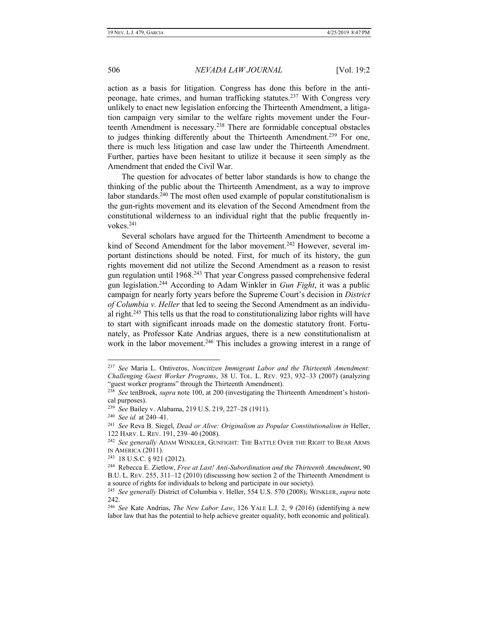action as a basis for litigation. Congress has done this before in the antipeonage, hate crimes, and human trafficking statutes.<sup>237</sup> With Congress very unlikely to enact new legislation enforcing the Thirteenth Amendment, a litigation campaign very similar to the welfare rights movement under the Fourteenth Amendment is necessary.<sup>238</sup> There are formidable conceptual obstacles to judges thinking differently about the Thirteenth Amendment.<sup>239</sup> For one, there is much less litigation and case law under the Thirteenth Amendment. Further, parties have been hesitant to utilize it because it seen simply as the Amendment that ended the Civil War.

The question for advocates of better labor standards is how to change the thinking of the public about the Thirteenth Amendment, as a way to improve labor standards.<sup>240</sup> The most often used example of popular constitutionalism is the gun-rights movement and its elevation of the Second Amendment from the constitutional wilderness to an individual right that the public frequently invokes.<sup>241</sup>

Several scholars have argued for the Thirteenth Amendment to become a kind of Second Amendment for the labor movement.<sup>242</sup> However, several important distinctions should be noted. First, for much of its history, the gun rights movement did not utilize the Second Amendment as a reason to resist gun regulation until 1968.<sup>243</sup> That year Congress passed comprehensive federal gun legislation.<sup>244</sup> According to Adam Winkler in *Gun Fight*, it was a public campaign for nearly forty years before the Supreme Court's decision in *District of Columbia v. Heller* that led to seeing the Second Amendment as an individual right.<sup>245</sup> This tells us that the road to constitutionalizing labor rights will have to start with significant inroads made on the domestic statutory front. Fortunately, as Professor Kate Andrias argues, there is a new constitutionalism at work in the labor movement.<sup>246</sup> This includes a growing interest in a range of

<sup>237</sup> *See* Maria L. Ontiveros, *Noncitizen Immigrant Labor and the Thirteenth Amendment: Challenging Guest Worker Programs*, 38 U. TOL. L. REV. 923, 932–33 (2007) (analyzing "guest worker programs" through the Thirteenth Amendment).

<sup>238</sup> *See* tenBroek, *supra* note 100, at 200 (investigating the Thirteenth Amendment's historical purposes).

<sup>239</sup> *See* Bailey v. Alabama, 219 U.S. 219, 227–28 (1911).

<sup>240</sup> *See id.* at 240–41.

<sup>241</sup> *See* Reva B. Siegel, *Dead or Alive: Originalism as Popular Constitutionalism in* Heller, 122 HARV. L. REV. 191, 239–40 (2008).

<sup>242</sup> *See generally* ADAM WINKLER, GUNFIGHT: THE BATTLE OVER THE RIGHT TO BEAR ARMS IN AMERICA (2011).

<sup>243</sup> 18 U.S.C. § 921 (2012).

<sup>244</sup> Rebecca E. Zietlow, *Free at Last! Anti-Subordination and the Thirteenth Amendment*, 90 B.U. L. REV. 255, 311–12 (2010) (discussing how section 2 of the Thirteenth Amendment is a source of rights for individuals to belong and participate in our society).

<sup>245</sup> *See generally* District of Columbia v. Heller, 554 U.S. 570 (2008); WINKLER, *supra* note 242.

<sup>246</sup> *See* Kate Andrias, *The New Labor Law*, 126 YALE L.J. 2, 9 (2016) (identifying a new labor law that has the potential to help achieve greater equality, both economic and political).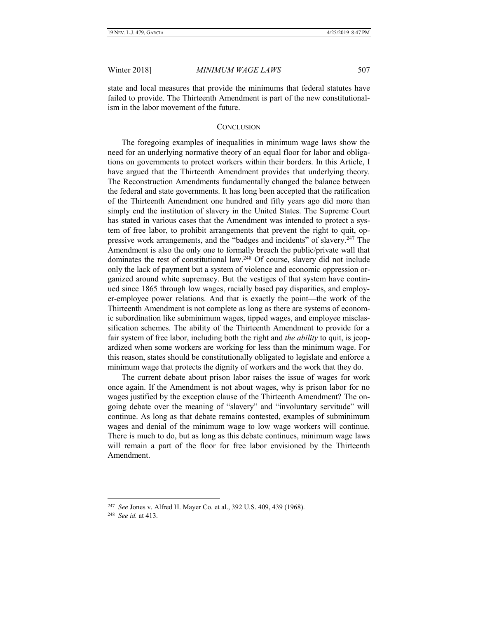state and local measures that provide the minimums that federal statutes have failed to provide. The Thirteenth Amendment is part of the new constitutionalism in the labor movement of the future.

# **CONCLUSION**

<span id="page-28-0"></span>The foregoing examples of inequalities in minimum wage laws show the need for an underlying normative theory of an equal floor for labor and obligations on governments to protect workers within their borders. In this Article, I have argued that the Thirteenth Amendment provides that underlying theory. The Reconstruction Amendments fundamentally changed the balance between the federal and state governments. It has long been accepted that the ratification of the Thirteenth Amendment one hundred and fifty years ago did more than simply end the institution of slavery in the United States. The Supreme Court has stated in various cases that the Amendment was intended to protect a system of free labor, to prohibit arrangements that prevent the right to quit, oppressive work arrangements, and the "badges and incidents" of slavery.<sup>247</sup> The Amendment is also the only one to formally breach the public/private wall that dominates the rest of constitutional law.<sup>248</sup> Of course, slavery did not include only the lack of payment but a system of violence and economic oppression organized around white supremacy. But the vestiges of that system have continued since 1865 through low wages, racially based pay disparities, and employer-employee power relations. And that is exactly the point—the work of the Thirteenth Amendment is not complete as long as there are systems of economic subordination like subminimum wages, tipped wages, and employee misclassification schemes. The ability of the Thirteenth Amendment to provide for a fair system of free labor, including both the right and *the ability* to quit, is jeopardized when some workers are working for less than the minimum wage. For this reason, states should be constitutionally obligated to legislate and enforce a minimum wage that protects the dignity of workers and the work that they do.

The current debate about prison labor raises the issue of wages for work once again. If the Amendment is not about wages, why is prison labor for no wages justified by the exception clause of the Thirteenth Amendment? The ongoing debate over the meaning of "slavery" and "involuntary servitude" will continue. As long as that debate remains contested, examples of subminimum wages and denial of the minimum wage to low wage workers will continue. There is much to do, but as long as this debate continues, minimum wage laws will remain a part of the floor for free labor envisioned by the Thirteenth Amendment.

<sup>247</sup> *See* Jones v. Alfred H. Mayer Co. et al., 392 U.S. 409, 439 (1968).

<sup>248</sup> *See id.* at 413.